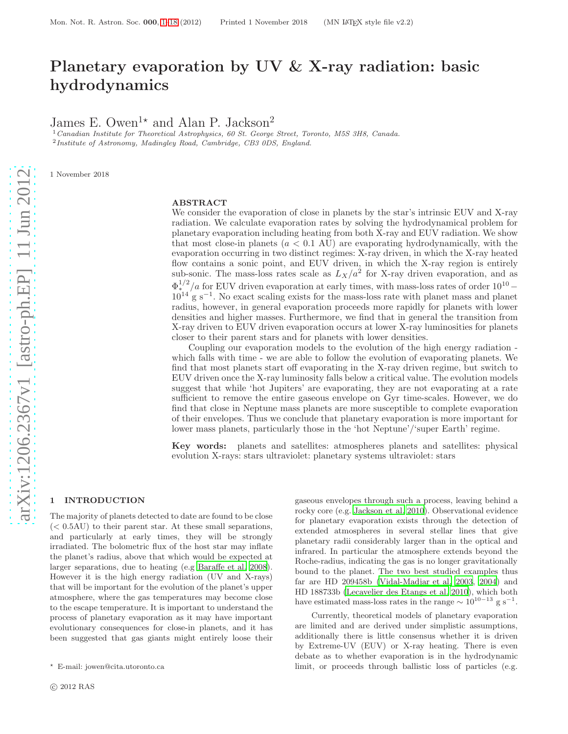# Planetary evaporation by UV & X-ray radiation: basic hydrodynamics

James E. Owen<sup>1\*</sup> and Alan P. Jackson<sup>2</sup>

<sup>1</sup> Canadian Institute for Theoretical Astrophysics, 60 St. George Street, Toronto, M5S 3H8, Canada. <sup>2</sup> Institute of Astronomy, Madingley Road, Cambridge, CB3 0DS, England.

1 November 2018

## ABSTRACT

We consider the evaporation of close in planets by the star's intrinsic EUV and X-ray radiation. We calculate evaporation rates by solving the hydrodynamical problem for planetary evaporation including heating from both X-ray and EUV radiation. We show that most close-in planets  $(a < 0.1 \text{ AU})$  are evaporating hydrodynamically, with the evaporation occurring in two distinct regimes: X-ray driven, in which the X-ray heated flow contains a sonic point, and EUV driven, in which the X-ray region is entirely sub-sonic. The mass-loss rates scale as  $L_X/a^2$  for X-ray driven evaporation, and as  $\Phi_*^{1/2}/a$  for EUV driven evaporation at early times, with mass-loss rates of order  $10^{10}$  –  $10^{14}$  g s<sup>-1</sup>. No exact scaling exists for the mass-loss rate with planet mass and planet radius, however, in general evaporation proceeds more rapidly for planets with lower densities and higher masses. Furthermore, we find that in general the transition from X-ray driven to EUV driven evaporation occurs at lower X-ray luminosities for planets closer to their parent stars and for planets with lower densities.

Coupling our evaporation models to the evolution of the high energy radiation which falls with time - we are able to follow the evolution of evaporating planets. We find that most planets start off evaporating in the X-ray driven regime, but switch to EUV driven once the X-ray luminosity falls below a critical value. The evolution models suggest that while 'hot Jupiters' are evaporating, they are not evaporating at a rate sufficient to remove the entire gaseous envelope on Gyr time-scales. However, we do find that close in Neptune mass planets are more susceptible to complete evaporation of their envelopes. Thus we conclude that planetary evaporation is more important for lower mass planets, particularly those in the 'hot Neptune'/'super Earth' regime.

Key words: planets and satellites: atmospheres planets and satellites: physical evolution X-rays: stars ultraviolet: planetary systems ultraviolet: stars

# <span id="page-0-0"></span>1 INTRODUCTION

The majority of planets detected to date are found to be close  $(< 0.5 AU$ ) to their parent star. At these small separations, and particularly at early times, they will be strongly irradiated. The bolometric flux of the host star may inflate the planet's radius, above that which would be expected at larger separations, due to heating (e.g [Baraffe et al. 2008\)](#page-16-0). However it is the high energy radiation (UV and X-rays) that will be important for the evolution of the planet's upper atmosphere, where the gas temperatures may become close to the escape temperature. It is important to understand the process of planetary evaporation as it may have important evolutionary consequences for close-in planets, and it has been suggested that gas giants might entirely loose their gaseous envelopes through such a process, leaving behind a rocky core (e.g. [Jackson et al. 2010](#page-17-0)). Observational evidence for planetary evaporation exists through the detection of extended atmospheres in several stellar lines that give planetary radii considerably larger than in the optical and infrared. In particular the atmosphere extends beyond the Roche-radius, indicating the gas is no longer gravitationally bound to the planet. The two best studied examples thus far are HD 209458b [\(Vidal-Madjar et al. 2003,](#page-17-1) [2004](#page-17-2)) and HD 188733b [\(Lecavelier des Etangs et al. 2010\)](#page-17-3), which both have estimated mass-loss rates in the range  $\sim 10^{10-13}$  g s<sup>-1</sup>.

Currently, theoretical models of planetary evaporation are limited and are derived under simplistic assumptions, additionally there is little consensus whether it is driven by Extreme-UV (EUV) or X-ray heating. There is even debate as to whether evaporation is in the hydrodynamic limit, or proceeds through ballistic loss of particles (e.g.

<sup>⋆</sup> E-mail: jowen@cita.utoronto.ca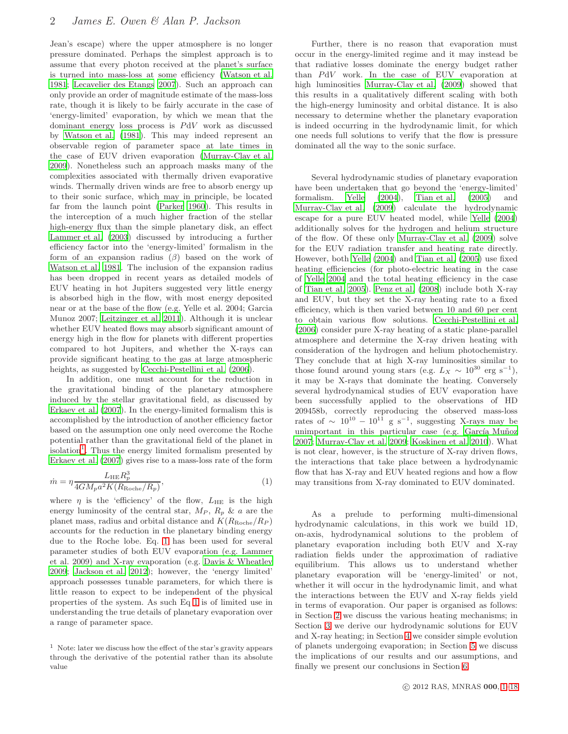Jean's escape) where the upper atmosphere is no longer pressure dominated. Perhaps the simplest approach is to assume that every photon received at the planet's surface is turned into mass-loss at some efficiency [\(Watson et al.](#page-17-4) [1981](#page-17-4); [Lecavelier des Etangs 2007](#page-17-5)). Such an approach can only provide an order of magnitude estimate of the mass-loss rate, though it is likely to be fairly accurate in the case of 'energy-limited' evaporation, by which we mean that the dominant energy loss process is PdV work as discussed by [Watson et al. \(1981](#page-17-4)). This may indeed represent an observable region of parameter space at late times in the case of EUV driven evaporation [\(Murray-Clay et al.](#page-17-6) [2009](#page-17-6)). Nonetheless such an approach masks many of the complexities associated with thermally driven evaporative winds. Thermally driven winds are free to absorb energy up to their sonic surface, which may in principle, be located far from the launch point [\(Parker 1960](#page-17-7)). This results in the interception of a much higher fraction of the stellar high-energy flux than the simple planetary disk, an effect [Lammer et al. \(2003](#page-17-8)) discussed by introducing a further efficiency factor into the 'energy-limited' formalism in the form of an expansion radius  $(\beta)$  based on the work of [Watson et al. 1981](#page-17-4). The inclusion of the expansion radius has been dropped in recent years as detailed models of EUV heating in hot Jupiters suggested very little energy is absorbed high in the flow, with most energy deposited near or at the base of the flow (e.g. Yelle et al. 2004; Garcia Munoz 2007; [Leitzinger et al. 2011\)](#page-17-9). Although it is unclear whether EUV heated flows may absorb significant amount of energy high in the flow for planets with different properties compared to hot Jupiters, and whether the X-rays can provide significant heating to the gas at large atmospheric heights, as suggested by Cecchi-Pestellini et al.  $(2006)$ .

In addition, one must account for the reduction in the gravitational binding of the planetary atmosphere induced by the stellar gravitational field, as discussed by [Erkaev et al. \(2007](#page-17-10)). In the energy-limited formalism this is accomplished by the introduction of another efficiency factor based on the assumption one only need overcome the Roche potential rather than the gravitational field of the planet in isolation<sup>[1](#page-1-0)</sup>. Thus the energy limited formalism presented by [Erkaev et al. \(2007](#page-17-10)) gives rise to a mass-loss rate of the form

$$
\dot{m} = \eta \frac{L_{\rm HE} R_p^3}{4GM_p a^2 K (R_{\rm Roche}/R_p)},\tag{1}
$$

where  $\eta$  is the 'efficiency' of the flow,  $L_{\text{HE}}$  is the high energy luminosity of the central star,  $M_P$ ,  $R_p$  & a are the planet mass, radius and orbital distance and  $K(R_{\text{Roche}}/R_P)$ accounts for the reduction in the planetary binding energy due to the Roche lobe. Eq. [1](#page-1-1) has been used for several parameter studies of both EUV evaporation (e.g. Lammer et al. 2009) and X-ray evaporation (e.g. [Davis & Wheatley](#page-17-11) [2009](#page-17-11); [Jackson et al. 2012\)](#page-17-12); however, the 'energy limited' approach possesses tunable parameters, for which there is little reason to expect to be independent of the physical properties of the system. As such Eq [1](#page-1-1) is of limited use in understanding the true details of planetary evaporation over a range of parameter space.

Further, there is no reason that evaporation must occur in the energy-limited regime and it may instead be that radiative losses dominate the energy budget rather than PdV work. In the case of EUV evaporation at high luminosities [Murray-Clay et al. \(2009](#page-17-6)) showed that this results in a qualitatively different scaling with both the high-energy luminosity and orbital distance. It is also necessary to determine whether the planetary evaporation is indeed occurring in the hydrodynamic limit, for which one needs full solutions to verify that the flow is pressure dominated all the way to the sonic surface.

Several hydrodynamic studies of planetary evaporation have been undertaken that go beyond the 'energy-limited' formalism. [Yelle \(2004\)](#page-17-13), [Tian et al. \(2005](#page-17-14)) and [Murray-Clay et al. \(2009](#page-17-6)) calculate the hydrodynamic escape for a pure EUV heated model, while [Yelle \(2004\)](#page-17-13) additionally solves for the hydrogen and helium structure of the flow. Of these only [Murray-Clay et al. \(2009](#page-17-6)) solve for the EUV radiation transfer and heating rate directly. However, both [Yelle \(2004](#page-17-13)) and [Tian et al. \(2005](#page-17-14)) use fixed heating efficiencies (for photo-electric heating in the case of [Yelle 2004](#page-17-13) and the total heating efficiency in the case of [Tian et al. 2005](#page-17-14)). [Penz et al. \(2008\)](#page-17-15) include both X-ray and EUV, but they set the X-ray heating rate to a fixed efficiency, which is then varied between 10 and 60 per cent to obtain various flow solutions. [Cecchi-Pestellini et al.](#page-16-1) [\(2006\)](#page-16-1) consider pure X-ray heating of a static plane-parallel atmosphere and determine the X-ray driven heating with consideration of the hydrogen and helium photochemistry. They conclude that at high X-ray luminosities similar to those found around young stars (e.g.  $L_X \sim 10^{30}$  erg s<sup>-1</sup>), it may be X-rays that dominate the heating. Conversely several hydrodynamical studies of EUV evaporation have been successfully applied to the observations of HD 209458b, correctly reproducing the observed mass-loss rates of  $\sim 10^{10} - 10^{11}$  g s<sup>-1</sup>, suggesting X-rays may be unimportant in this particular case (e.g. García Muñoz [2007](#page-17-16); [Murray-Clay et al. 2009](#page-17-6); [Koskinen et al. 2010](#page-17-17)). What is not clear, however, is the structure of X-ray driven flows, the interactions that take place between a hydrodynamic flow that has X-ray and EUV heated regions and how a flow may transitions from X-ray dominated to EUV dominated.

<span id="page-1-1"></span>As a prelude to performing multi-dimensional hydrodynamic calculations, in this work we build 1D, on-axis, hydrodynamical solutions to the problem of planetary evaporation including both EUV and X-ray radiation fields under the approximation of radiative equilibrium. This allows us to understand whether planetary evaporation will be 'energy-limited' or not, whether it will occur in the hydrodynamic limit, and what the interactions between the EUV and X-ray fields yield in terms of evaporation. Our paper is organised as follows: in Section [2](#page-2-0) we discuss the various heating mechanisms; in Section [3](#page-3-0) we derive our hydrodynamic solutions for EUV and X-ray heating; in Section [4](#page-11-0) we consider simple evolution of planets undergoing evaporation; in Section [5](#page-13-0) we discuss the implications of our results and our assumptions, and finally we present our conclusions in Section [6.](#page-16-2)

<span id="page-1-0"></span> $1$  Note: later we discuss how the effect of the star's gravity appears through the derivative of the potential rather than its absolute value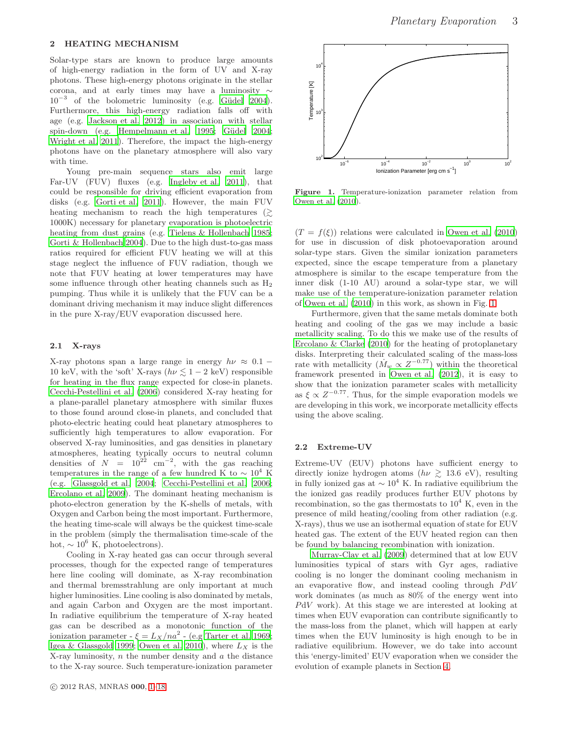<span id="page-2-0"></span>Solar-type stars are known to produce large amounts of high-energy radiation in the form of UV and X-ray photons. These high-energy photons originate in the stellar corona, and at early times may have a luminosity ∼ 10<sup>-3</sup> of the bolometric luminosity (e.g. Güdel 2004). Furthermore, this high-energy radiation falls off with age (e.g. [Jackson et al. 2012](#page-17-12)) in association with stellar spin-down (e.g. [Hempelmann et al. 1995;](#page-17-19) Güdel 2004; [Wright et al. 2011](#page-17-20)). Therefore, the impact the high-energy photons have on the planetary atmosphere will also vary with time.

Young pre-main sequence stars also emit large Far-UV (FUV) fluxes (e.g. [Ingleby et al. 2011\)](#page-17-21), that could be responsible for driving efficient evaporation from disks (e.g. [Gorti et al. 2011](#page-17-22)). However, the main FUV heating mechanism to reach the high temperatures  $\left\langle \right\rangle$ 1000K) necessary for planetary evaporation is photoelectric heating from dust grains (e.g. [Tielens & Hollenbach 1985](#page-17-23); [Gorti & Hollenbach 2004\)](#page-17-24). Due to the high dust-to-gas mass ratios required for efficient FUV heating we will at this stage neglect the influence of FUV radiation, though we note that FUV heating at lower temperatures may have some influence through other heating channels such as  $H_2$ pumping. Thus while it is unlikely that the FUV can be a dominant driving mechanism it may induce slight differences in the pure X-ray/EUV evaporation discussed here.

#### <span id="page-2-3"></span>2.1 X-rays

X-ray photons span a large range in energy  $h\nu \approx 0.1$  – 10 keV, with the 'soft' X-rays ( $h\nu \lesssim 1-2$  keV) responsible for heating in the flux range expected for close-in planets. [Cecchi-Pestellini et al. \(2006](#page-16-1)) considered X-ray heating for a plane-parallel planetary atmosphere with similar fluxes to those found around close-in planets, and concluded that photo-electric heating could heat planetary atmospheres to sufficiently high temperatures to allow evaporation. For observed X-ray luminosities, and gas densities in planetary atmospheres, heating typically occurs to neutral column densities of  $N = 10^{22}$  cm<sup>-2</sup>, with the gas reaching temperatures in the range of a few hundred K to  $\sim 10^4$  K (e.g. [Glassgold et al. 2004](#page-17-25); [Cecchi-Pestellini et al. 2006](#page-16-1); [Ercolano et al. 2009\)](#page-17-26). The dominant heating mechanism is photo-electron generation by the K-shells of metals, with Oxygen and Carbon being the most important. Furthermore, the heating time-scale will always be the quickest time-scale in the problem (simply the thermalisation time-scale of the hot,  $\sim 10^6$  K, photoelectrons).

Cooling in X-ray heated gas can occur through several processes, though for the expected range of temperatures here line cooling will dominate, as X-ray recombination and thermal bremsstrahlung are only important at much higher luminosities. Line cooling is also dominated by metals, and again Carbon and Oxygen are the most important. In radiative equilibrium the temperature of X-ray heated gas can be described as a monotonic function of the ionization parameter -  $\xi = L_X/na^2$  - (e.g [Tarter et al. 1969](#page-17-27); [Igea & Glassgold 1999](#page-17-28); [Owen et al. 2010](#page-17-29)), where  $L_X$  is the X-ray luminosity,  $n$  the number density and  $\alpha$  the distance to the X-ray source. Such temperature-ionization parameter



<span id="page-2-1"></span>Figure 1. Temperature-ionization parameter relation from [Owen et al. \(2010](#page-17-29)).

 $(T = f(\xi))$  relations were calculated in [Owen et al. \(2010\)](#page-17-29) for use in discussion of disk photoevaporation around solar-type stars. Given the similar ionization parameters expected, since the escape temperature from a planetary atmosphere is similar to the escape temperature from the inner disk (1-10 AU) around a solar-type star, we will make use of the temperature-ionization parameter relation of [Owen et al. \(2010\)](#page-17-29) in this work, as shown in Fig. [1.](#page-2-1)

Furthermore, given that the same metals dominate both heating and cooling of the gas we may include a basic metallicity scaling. To do this we make use of the results of [Ercolano & Clarke \(2010](#page-17-30)) for the heating of protoplanetary disks. Interpreting their calculated scaling of the mass-loss rate with metallicity  $(M_w \propto Z^{-0.77})$  within the theoretical framework presented in [Owen et al. \(2012](#page-17-31)), it is easy to show that the ionization parameter scales with metallicity as  $\xi \propto Z^{-0.77}$ . Thus, for the simple evaporation models we are developing in this work, we incorporate metallicity effects using the above scaling.

### <span id="page-2-2"></span>2.2 Extreme-UV

Extreme-UV (EUV) photons have sufficient energy to directly ionize hydrogen atoms  $(h\nu \geq 13.6 \text{ eV})$ , resulting in fully ionized gas at  $\sim 10^4$  K. In radiative equilibrium the the ionized gas readily produces further EUV photons by recombination, so the gas thermostats to  $10^4$  K, even in the presence of mild heating/cooling from other radiation (e.g. X-rays), thus we use an isothermal equation of state for EUV heated gas. The extent of the EUV heated region can then be found by balancing recombination with ionization.

[Murray-Clay et al. \(2009\)](#page-17-6) determined that at low EUV luminosities typical of stars with Gyr ages, radiative cooling is no longer the dominant cooling mechanism in an evaporative flow, and instead cooling through PdV work dominates (as much as 80% of the energy went into PdV work). At this stage we are interested at looking at times when EUV evaporation can contribute significantly to the mass-loss from the planet, which will happen at early times when the EUV luminosity is high enough to be in radiative equilibrium. However, we do take into account this 'energy-limited' EUV evaporation when we consider the evolution of example planets in Section [4.](#page-11-0)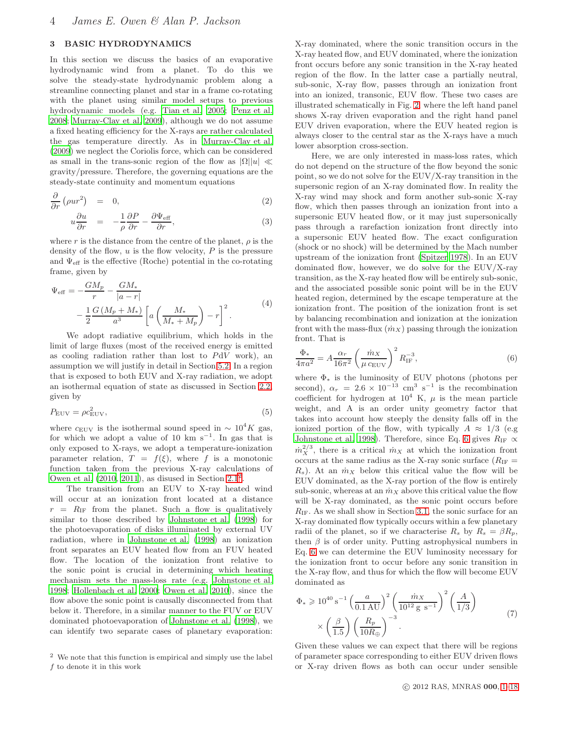# <span id="page-3-0"></span>3 BASIC HYDRODYNAMICS

In this section we discuss the basics of an evaporative hydrodynamic wind from a planet. To do this we solve the steady-state hydrodynamic problem along a streamline connecting planet and star in a frame co-rotating with the planet using similar model setups to previous hydrodynamic models (e.g. [Tian et al. 2005](#page-17-14); [Penz et al.](#page-17-15) [2008](#page-17-15); [Murray-Clay et al. 2009](#page-17-6)), although we do not assume a fixed heating efficiency for the X-rays are rather calculated the gas temperature directly. As in [Murray-Clay et al.](#page-17-6) [\(2009\)](#page-17-6) we neglect the Coriolis force, which can be considered as small in the trans-sonic region of the flow as  $|\Omega| |u| \ll$ gravity/pressure. Therefore, the governing equations are the steady-state continuity and momentum equations

<span id="page-3-3"></span>
$$
\frac{\partial}{\partial r} \left( \rho u r^2 \right) = 0, \tag{2}
$$

$$
u\frac{\partial u}{\partial r} = -\frac{1}{\rho}\frac{\partial P}{\partial r} - \frac{\partial \Psi_{\text{eff}}}{\partial r},\tag{3}
$$

where r is the distance from the centre of the planet,  $\rho$  is the density of the flow,  $u$  is the flow velocity,  $P$  is the pressure and  $\Psi_{\text{eff}}$  is the effective (Roche) potential in the co-rotating frame, given by

$$
\Psi_{\text{eff}} = -\frac{GM_p}{r} - \frac{GM_*}{|a-r|} \n- \frac{1}{2} \frac{G(M_p + M_*)}{a^3} \left[ a \left( \frac{M_*}{M_* + M_p} \right) - r \right]^2.
$$
\n(4)

We adopt radiative equilibrium, which holds in the limit of large fluxes (most of the received energy is emitted as cooling radiation rather than lost to PdV work), an assumption we will justify in detail in Section [5.2.](#page-14-0) In a region that is exposed to both EUV and X-ray radiation, we adopt an isothermal equation of state as discussed in Section [2.2,](#page-2-2) given by

$$
P_{\rm EUV} = \rho c_{\rm EUV}^2,\tag{5}
$$

where  $c_{\text{EUV}}$  is the isothermal sound speed in  $\sim 10^4 K$  gas, for which we adopt a value of 10 km s<sup>-1</sup>. In gas that is only exposed to X-rays, we adopt a temperature-ionization parameter relation,  $T = f(\xi)$ , where f is a monotonic function taken from the previous X-ray calculations of Owen et al.  $(2010, 2011)$  $(2010, 2011)$  $(2010, 2011)$ , as disused in Section  $2.1<sup>2</sup>$  $2.1<sup>2</sup>$ .

The transition from an EUV to X-ray heated wind will occur at an ionization front located at a distance  $r = R_{IF}$  from the planet. Such a flow is qualitatively similar to those described by [Johnstone et al. \(1998](#page-17-33)) for the photoevaporation of disks illuminated by external UV radiation, where in [Johnstone et al. \(1998\)](#page-17-33) an ionization front separates an EUV heated flow from an FUV heated flow. The location of the ionization front relative to the sonic point is crucial in determining which heating mechanism sets the mass-loss rate (e.g. [Johnstone et al.](#page-17-33) [1998](#page-17-33); [Hollenbach et al. 2000](#page-17-34); [Owen et al. 2010](#page-17-29)), since the flow above the sonic point is causally disconnected from that below it. Therefore, in a similar manner to the FUV or EUV dominated photoevaporation of [Johnstone et al. \(1998\)](#page-17-33), we can identify two separate cases of planetary evaporation: X-ray dominated, where the sonic transition occurs in the X-ray heated flow, and EUV dominated, where the ionization front occurs before any sonic transition in the X-ray heated region of the flow. In the latter case a partially neutral, sub-sonic, X-ray flow, passes through an ionization front into an ionized, transonic, EUV flow. These two cases are illustrated schematically in Fig. [2,](#page-4-0) where the left hand panel shows X-ray driven evaporation and the right hand panel EUV driven evaporation, where the EUV heated region is always closer to the central star as the X-rays have a much lower absorption cross-section.

Here, we are only interested in mass-loss rates, which do not depend on the structure of the flow beyond the sonic point, so we do not solve for the EUV/X-ray transition in the supersonic region of an X-ray dominated flow. In reality the X-ray wind may shock and form another sub-sonic X-ray flow, which then passes through an ionization front into a supersonic EUV heated flow, or it may just supersonically pass through a rarefaction ionization front directly into a supersonic EUV heated flow. The exact configuration (shock or no shock) will be determined by the Mach number upstream of the ionization front [\(Spitzer 1978](#page-17-35)). In an EUV dominated flow, however, we do solve for the EUV/X-ray transition, as the X-ray heated flow will be entirely sub-sonic, and the associated possible sonic point will be in the EUV heated region, determined by the escape temperature at the ionization front. The position of the ionization front is set by balancing recombination and ionization at the ionization front with the mass-flux  $(m_X)$  passing through the ionization front. That is

<span id="page-3-2"></span>
$$
\frac{\Phi_*}{4\pi a^2} = A \frac{\alpha_r}{16\pi^2} \left(\frac{\dot{m}_X}{\mu c_{\text{EUV}}}\right)^2 R_{\text{IF}}^{-3},\tag{6}
$$

where  $\Phi_*$  is the luminosity of EUV photons (photons per second),  $\alpha_r = 2.6 \times 10^{-13}$  cm<sup>3</sup> s<sup>-1</sup> is the recombination coefficient for hydrogen at  $10^4$  K,  $\mu$  is the mean particle weight, and A is an order unity geometry factor that takes into account how steeply the density falls off in the ionized portion of the flow, with typically  $A \approx 1/3$  (e.g [Johnstone et al. 1998](#page-17-33)). Therefore, since Eq. [6](#page-3-2) gives  $R_{\text{IF}} \propto$  $\dot{m}_X^{2/3}$ , there is a critical  $\dot{m}_X$  at which the ionization front occurs at the same radius as the X-ray sonic surface ( $R_{\text{IF}} =$  $R_s$ ). At an  $\dot{m}_X$  below this critical value the flow will be EUV dominated, as the X-ray portion of the flow is entirely sub-sonic, whereas at an  $\dot{m}_X$  above this critical value the flow will be X-ray dominated, as the sonic point occurs before  $R_{IF}$ . As we shall show in Section [3.1,](#page-4-1) the sonic surface for an X-ray dominated flow typically occurs within a few planetary radii of the planet, so if we characterise  $R_s$  by  $R_s = \beta R_p$ , then  $\beta$  is of order unity. Putting astrophysical numbers in Eq. [6](#page-3-2) we can determine the EUV luminosity necessary for the ionization front to occur before any sonic transition in the X-ray flow, and thus for which the flow will become EUV dominated as

$$
\Phi_* \geq 10^{40} \, \mathrm{s}^{-1} \left( \frac{a}{0.1 \, \mathrm{AU}} \right)^2 \left( \frac{\dot{m} \, \mathrm{x}}{10^{12} \, \mathrm{g} \, \mathrm{s}^{-1}} \right)^2 \left( \frac{A}{1/3} \right) \\
\times \left( \frac{\beta}{1.5} \right) \left( \frac{R_p}{10 R_{\oplus}} \right)^{-3} . \tag{7}
$$

Given these values we can expect that there will be regions of parameter space corresponding to either EUV driven flows or X-ray driven flows as both can occur under sensible

<span id="page-3-1"></span><sup>2</sup> We note that this function is empirical and simply use the label  $\boldsymbol{f}$  to denote it in this work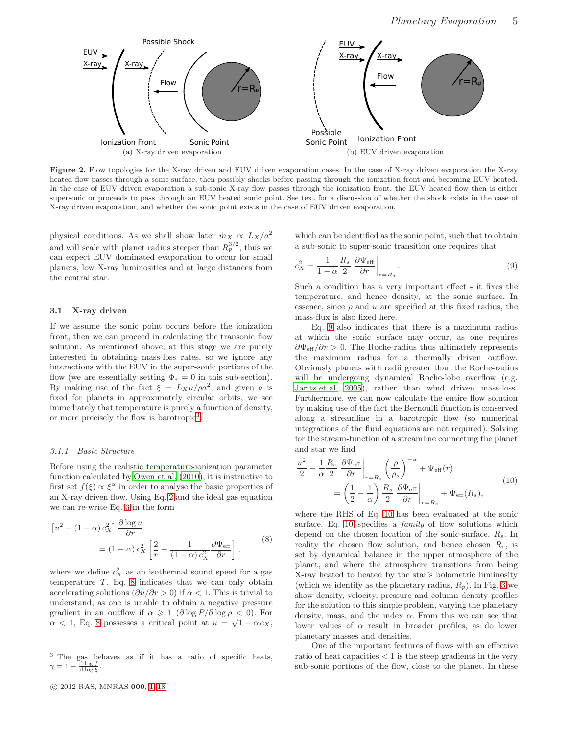$r = R_p$ Ionization Front Sonic Point Possible Shock X-ray <u>EUV</u> X-ray Flow (a) X-ray driven evaporation  $r = R_p$ Possible<br>Sonic Point Ionization Front X-ray **EUV** X-ray Flow (b) EUV driven evaporation

<span id="page-4-0"></span>Figure 2. Flow topologies for the X-ray driven and EUV driven evaporation cases. In the case of X-ray driven evaporation the X-ray heated flow passes through a sonic surface, then possibly shocks before passing through the ionization front and becoming EUV heated. In the case of EUV driven evaporation a sub-sonic X-ray flow passes through the ionization front, the EUV heated flow then is either supersonic or proceeds to pass through an EUV heated sonic point. See text for a discussion of whether the shock exists in the case of X-ray driven evaporation, and whether the sonic point exists in the case of EUV driven evaporation.

physical conditions. As we shall show later  $\dot{m}_X \propto L_X/a^2$ and will scale with planet radius steeper than  $R_p^{3/2}$ , thus we can expect EUV dominated evaporation to occur for small planets, low X-ray luminosities and at large distances from the central star.

## <span id="page-4-1"></span>3.1 X-ray driven

If we assume the sonic point occurs before the ionization front, then we can proceed in calculating the transonic flow solution. As mentioned above, at this stage we are purely interested in obtaining mass-loss rates, so we ignore any interactions with the EUV in the super-sonic portions of the flow (we are essentially setting  $\Phi_* = 0$  in this sub-section). By making use of the fact  $\xi = L_X \mu / \rho a^2$ , and given a is fixed for planets in approximately circular orbits, we see immediately that temperature is purely a function of density, or more precisely the flow is barotropic<sup>[3](#page-4-2)</sup>.

#### 3.1.1 Basic Structure

Before using the realistic temperature-ionization parameter function calculated by [Owen et al. \(2010](#page-17-29)), it is instructive to first set  $f(\xi) \propto \xi^{\alpha}$  in order to analyse the basic properties of an X-ray driven flow. Using Eq. [2](#page-3-3) and the ideal gas equation we can re-write Eq. [3](#page-3-3) in the form

$$
\begin{aligned} \left[u^2 - (1 - \alpha) c_X^2\right] \frac{\partial \log u}{\partial r} \\ &= (1 - \alpha) c_X^2 \left[\frac{2}{r} - \frac{1}{(1 - \alpha) c_X^2} \frac{\partial \Psi_{\text{eff}}}{\partial r}\right], \end{aligned} \tag{8}
$$

where we define  $c_X^2$  as an isothermal sound speed for a gas temperature  $T$ . Eq. [8](#page-4-3) indicates that we can only obtain accelerating solutions  $(\partial u/\partial r > 0)$  if  $\alpha < 1$ . This is trivial to understand, as one is unable to obtain a negative pressure gradient in an outflow if  $\alpha \geq 1$  ( $\partial \log P / \partial \log \rho < 0$ ). For  $\alpha$  < 1, Eq. [8](#page-4-3) possesses a critical point at  $u = \sqrt{1 - \alpha} c_X$ ,

<span id="page-4-2"></span><sup>3</sup> The gas behaves as if it has a ratio of specific heats,  $\gamma = 1 - \frac{d \log f}{d \log \xi}.$ 

<span id="page-4-6"></span>which can be identified as the sonic point, such that to obtain a sub-sonic to super-sonic transition one requires that

<span id="page-4-4"></span>
$$
c_X^2 = \frac{1}{1 - \alpha} \frac{R_s}{2} \left. \frac{\partial \Psi_{\text{eff}}}{\partial r} \right|_{r = R_s} . \tag{9}
$$

Such a condition has a very important effect - it fixes the temperature, and hence density, at the sonic surface. In essence, since  $\rho$  and  $u$  are specified at this fixed radius, the mass-flux is also fixed here.

Eq. [9](#page-4-4) also indicates that there is a maximum radius at which the sonic surface may occur, as one requires  $\partial \Psi_{\text{eff}}/\partial r > 0$ . The Roche-radius thus ultimately represents the maximum radius for a thermally driven outflow. Obviously planets with radii greater than the Roche-radius will be undergoing dynamical Roche-lobe overflow (e.g. [Jaritz et al. 2005](#page-17-36)), rather than wind driven mass-loss. Furthermore, we can now calculate the entire flow solution by making use of the fact the Bernoulli function is conserved along a streamline in a barotropic flow (so numerical integrations of the fluid equations are not required). Solving for the stream-function of a streamline connecting the planet and star we find

<span id="page-4-5"></span>
$$
\frac{u^2}{2} - \frac{1}{\alpha} \frac{R_s}{2} \frac{\partial \Psi_{\text{eff}}}{\partial r} \bigg|_{r=R_s} \left(\frac{\rho}{\rho_s}\right)^{-\alpha} + \Psi_{\text{eff}}(r)
$$
\n
$$
= \left(\frac{1}{2} - \frac{1}{\alpha}\right) \frac{R_s}{2} \frac{\partial \Psi_{\text{eff}}}{\partial r} \bigg|_{r=R_s} + \Psi_{\text{eff}}(R_s), \tag{10}
$$

<span id="page-4-3"></span>where the RHS of Eq. [10](#page-4-5) has been evaluated at the sonic surface. Eq. [10](#page-4-5) specifies a *family* of flow solutions which depend on the chosen location of the sonic-surface,  $R_s$ . In reality the chosen flow solution, and hence chosen  $R_s$ , is set by dynamical balance in the upper atmosphere of the planet, and where the atmosphere transitions from being X-ray heated to heated by the star's bolometric luminosity (which we identify as the planetary radius,  $R_p$ ). In Fig. [3](#page-5-0) we show density, velocity, pressure and column density profiles for the solution to this simple problem, varying the planetary density, mass, and the index  $\alpha$ . From this we can see that lower values of  $\alpha$  result in broader profiles, as do lower planetary masses and densities.

One of the important features of flows with an effective ratio of heat capacities  $\lt 1$  is the steep gradients in the very sub-sonic portions of the flow, close to the planet. In these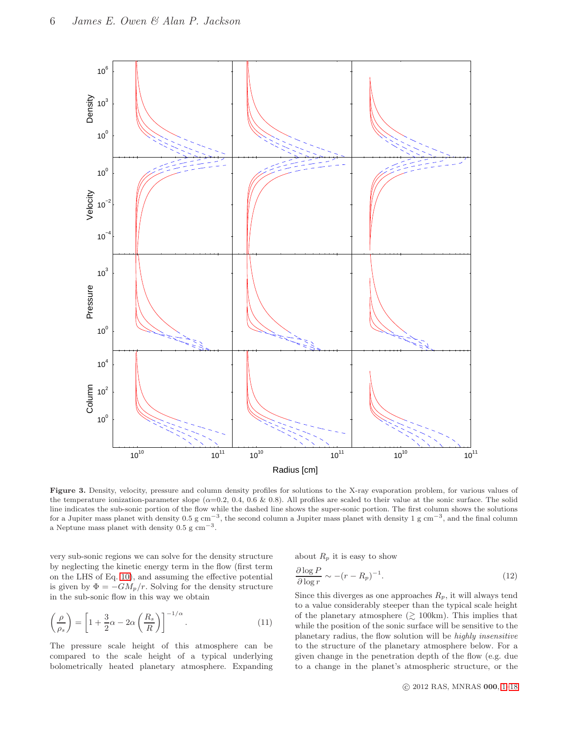

<span id="page-5-0"></span>Figure 3. Density, velocity, pressure and column density profiles for solutions to the X-ray evaporation problem, for various values of the temperature ionization-parameter slope ( $\alpha=0.2$ , 0.4, 0.6 & 0.8). All profiles are scaled to their value at the sonic surface. The solid line indicates the sub-sonic portion of the flow while the dashed line shows the super-sonic portion. The first column shows the solutions for a Jupiter mass planet with density 0.5 g cm<sup>-3</sup>, the second column a Jupiter mass planet with density 1 g cm<sup>-3</sup>, and the final column a Neptune mass planet with density  $0.5 \text{ g cm}^{-3}$ .

very sub-sonic regions we can solve for the density structure by neglecting the kinetic energy term in the flow (first term on the LHS of Eq. [10\)](#page-4-5), and assuming the effective potential is given by  $\Phi = -GM_p/r$ . Solving for the density structure in the sub-sonic flow in this way we obtain

$$
\left(\frac{\rho}{\rho_s}\right) = \left[1 + \frac{3}{2}\alpha - 2\alpha \left(\frac{R_s}{R}\right)\right]^{-1/\alpha}.\tag{11}
$$

The pressure scale height of this atmosphere can be compared to the scale height of a typical underlying bolometrically heated planetary atmosphere. Expanding about  $R_p$  it is easy to show

$$
\frac{\partial \log P}{\partial \log r} \sim -(r - R_p)^{-1}.\tag{12}
$$

<span id="page-5-1"></span>Since this diverges as one approaches  $R_p$ , it will always tend to a value considerably steeper than the typical scale height of the planetary atmosphere  $(\gtrsim 100 \text{km})$ . This implies that while the position of the sonic surface will be sensitive to the planetary radius, the flow solution will be highly insensitive to the structure of the planetary atmosphere below. For a given change in the penetration depth of the flow (e.g. due to a change in the planet's atmospheric structure, or the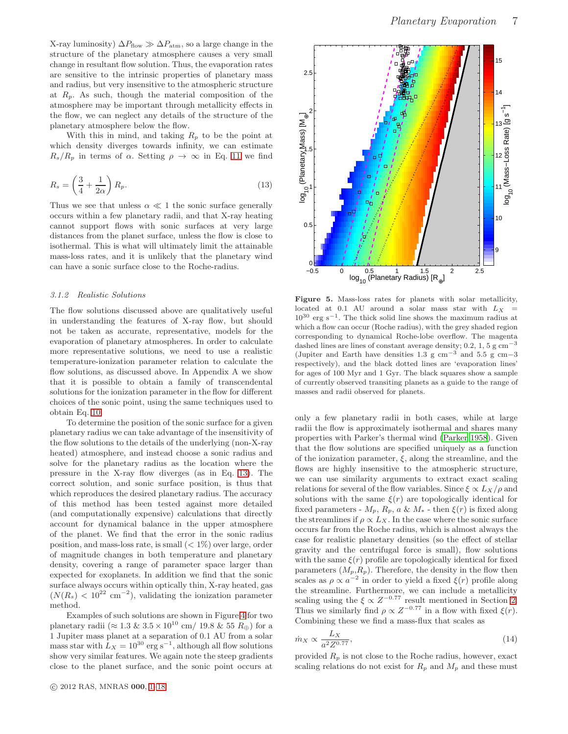X-ray luminosity)  $\Delta P_{flow} \gg \Delta P_{atm}$ , so a large change in the structure of the planetary atmosphere causes a very small change in resultant flow solution. Thus, the evaporation rates are sensitive to the intrinsic properties of planetary mass and radius, but very insensitive to the atmospheric structure at  $R_p$ . As such, though the material composition of the atmosphere may be important through metallicity effects in the flow, we can neglect any details of the structure of the planetary atmosphere below the flow.

With this in mind, and taking  $R_p$  to be the point at which density diverges towards infinity, we can estimate  $R_s/R_p$  in terms of  $\alpha$ . Setting  $\rho \to \infty$  in Eq. [11](#page-5-1) we find

<span id="page-6-0"></span>
$$
R_s = \left(\frac{3}{4} + \frac{1}{2\alpha}\right) R_p. \tag{13}
$$

Thus we see that unless  $\alpha \ll 1$  the sonic surface generally occurs within a few planetary radii, and that X-ray heating cannot support flows with sonic surfaces at very large distances from the planet surface, unless the flow is close to isothermal. This is what will ultimately limit the attainable mass-loss rates, and it is unlikely that the planetary wind can have a sonic surface close to the Roche-radius.

#### 3.1.2 Realistic Solutions

The flow solutions discussed above are qualitatively useful in understanding the features of X-ray flow, but should not be taken as accurate, representative, models for the evaporation of planetary atmospheres. In order to calculate more representative solutions, we need to use a realistic temperature-ionization parameter relation to calculate the flow solutions, as discussed above. In Appendix A we show that it is possible to obtain a family of transcendental solutions for the ionization parameter in the flow for different choices of the sonic point, using the same techniques used to obtain Eq. [10.](#page-4-5)

To determine the position of the sonic surface for a given planetary radius we can take advantage of the insensitivity of the flow solutions to the details of the underlying (non-X-ray heated) atmosphere, and instead choose a sonic radius and solve for the planetary radius as the location where the pressure in the X-ray flow diverges (as in Eq. [13\)](#page-6-0). The correct solution, and sonic surface position, is thus that which reproduces the desired planetary radius. The accuracy of this method has been tested against more detailed (and computationally expensive) calculations that directly account for dynamical balance in the upper atmosphere of the planet. We find that the error in the sonic radius position, and mass-loss rate, is small  $(< 1\%)$  over large, order of magnitude changes in both temperature and planetary density, covering a range of parameter space larger than expected for exoplanets. In addition we find that the sonic surface always occurs within optically thin, X-ray heated, gas  $(N(R<sub>s</sub>) < 10<sup>22</sup>$  cm<sup>-2</sup>), validating the ionization parameter method.

Examples of such solutions are shown in Figure [4](#page-7-0) for two planetary radii ( $\approx 1.3 \& 3.5 \times 10^{10}$  cm/ 19.8 & 55  $R_{\oplus}$ ) for a 1 Jupiter mass planet at a separation of 0.1 AU from a solar mass star with  $L_X = 10^{30} \text{ erg s}^{-1}$ , although all flow solutions show very similar features. We again note the steep gradients close to the planet surface, and the sonic point occurs at



<span id="page-6-1"></span>Figure 5. Mass-loss rates for planets with solar metallicity, located at 0.1 AU around a solar mass star with  $L_X$  =  $10^{30}$  erg s<sup>-1</sup>. The thick solid line shows the maximum radius at which a flow can occur (Roche radius), with the grey shaded region corresponding to dynamical Roche-lobe overflow. The magenta dashed lines are lines of constant average density;  $0.2$ ,  $1$ ,  $5$  g cm<sup>-3</sup> (Jupiter and Earth have densities 1.3 g cm<sup>-3</sup> and 5.5 g cm−3 respectively), and the black dotted lines are 'evaporation lines' for ages of 100 Myr and 1 Gyr. The black squares show a sample of currently observed transiting planets as a guide to the range of masses and radii observed for planets.

only a few planetary radii in both cases, while at large radii the flow is approximately isothermal and shares many properties with Parker's thermal wind [\(Parker 1958](#page-17-37)). Given that the flow solutions are specified uniquely as a function of the ionization parameter,  $\xi$ , along the streamline, and the flows are highly insensitive to the atmospheric structure, we can use similarity arguments to extract exact scaling relations for several of the flow variables. Since  $\xi \propto L_X/\rho$  and solutions with the same  $\xi(r)$  are topologically identical for fixed parameters -  $M_p$ ,  $R_p$ ,  $a \& M_*$  - then  $\xi(r)$  is fixed along the streamlines if  $\rho \propto L_X$ . In the case where the sonic surface occurs far from the Roche radius, which is almost always the case for realistic planetary densities (so the effect of stellar gravity and the centrifugal force is small), flow solutions with the same  $\xi(r)$  profile are topologically identical for fixed parameters  $(M_p, R_p)$ . Therefore, the density in the flow then scales as  $\rho \propto a^{-2}$  in order to yield a fixed  $\xi(r)$  profile along the streamline. Furthermore, we can include a metallicity scaling using the  $\xi \propto Z^{-0.77}$  result mentioned in Section [2.](#page-2-0) Thus we similarly find  $\rho \propto Z^{-0.77}$  in a flow with fixed  $\xi(r)$ . Combining these we find a mass-flux that scales as

<span id="page-6-2"></span>
$$
\dot{m}_X \propto \frac{L_X}{a^2 Z^{0.77}},\tag{14}
$$

provided  $R_p$  is not close to the Roche radius, however, exact scaling relations do not exist for  $R_p$  and  $M_p$  and these must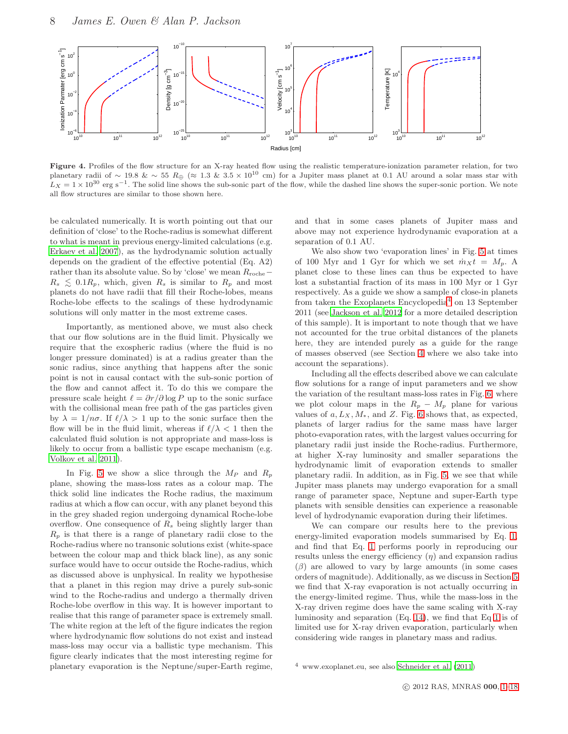

<span id="page-7-0"></span>Figure 4. Profiles of the flow structure for an X-ray heated flow using the realistic temperature-ionization parameter relation, for two planetary radii of ∼ 19.8 & ~ 55 R<sub>⊕</sub> (≈ 1.3 & 3.5 × 10<sup>10</sup> cm) for a Jupiter mass planet at 0.1 AU around a solar mass star with  $L_X = 1 \times 10^{30}$  erg s<sup>-1</sup>. The solid line shows the sub-sonic part of the flow, while the dashed line shows the super-sonic portion. We note all flow structures are similar to those shown here.

be calculated numerically. It is worth pointing out that our definition of 'close' to the Roche-radius is somewhat different to what is meant in previous energy-limited calculations (e.g. [Erkaev et al. 2007](#page-17-10)), as the hydrodynamic solution actually depends on the gradient of the effective potential (Eq. A2) rather than its absolute value. So by 'close' we mean  $R_{\text{roche}}$  –  $R_s \leq 0.1R_p$ , which, given  $R_s$  is similar to  $R_p$  and most planets do not have radii that fill their Roche-lobes, means Roche-lobe effects to the scalings of these hydrodynamic solutions will only matter in the most extreme cases.

Importantly, as mentioned above, we must also check that our flow solutions are in the fluid limit. Physically we require that the exospheric radius (where the fluid is no longer pressure dominated) is at a radius greater than the sonic radius, since anything that happens after the sonic point is not in causal contact with the sub-sonic portion of the flow and cannot affect it. To do this we compare the pressure scale height  $\ell = \partial r / \partial \log P$  up to the sonic surface with the collisional mean free path of the gas particles given by  $\lambda = 1/n\sigma$ . If  $\ell/\lambda > 1$  up to the sonic surface then the flow will be in the fluid limit, whereas if  $\ell/\lambda < 1$  then the calculated fluid solution is not appropriate and mass-loss is likely to occur from a ballistic type escape mechanism (e.g. [Volkov et al. 2011\)](#page-17-38).

In Fig. [5](#page-6-1) we show a slice through the  $M_P$  and  $R_p$ plane, showing the mass-loss rates as a colour map. The thick solid line indicates the Roche radius, the maximum radius at which a flow can occur, with any planet beyond this in the grey shaded region undergoing dynamical Roche-lobe overflow. One consequence of  $R_s$  being slightly larger than  $R_p$  is that there is a range of planetary radii close to the Roche-radius where no transonic solutions exist (white-space between the colour map and thick black line), as any sonic surface would have to occur outside the Roche-radius, which as discussed above is unphysical. In reality we hypothesise that a planet in this region may drive a purely sub-sonic wind to the Roche-radius and undergo a thermally driven Roche-lobe overflow in this way. It is however important to realise that this range of parameter space is extremely small. The white region at the left of the figure indicates the region where hydrodynamic flow solutions do not exist and instead mass-loss may occur via a ballistic type mechanism. This figure clearly indicates that the most interesting regime for planetary evaporation is the Neptune/super-Earth regime, and that in some cases planets of Jupiter mass and above may not experience hydrodynamic evaporation at a separation of 0.1 AU.

We also show two 'evaporation lines' in Fig. [5](#page-6-1) at times of 100 Myr and 1 Gyr for which we set  $\dot{m}_X t = M_p$ . A planet close to these lines can thus be expected to have lost a substantial fraction of its mass in 100 Myr or 1 Gyr respectively. As a guide we show a sample of close-in planets from taken the Exoplanets Encyclopedia<sup>[4](#page-7-1)</sup> on 13 September 2011 (see [Jackson et al. 2012](#page-17-12) for a more detailed description of this sample). It is important to note though that we have not accounted for the true orbital distances of the planets here, they are intended purely as a guide for the range of masses observed (see Section [4](#page-11-0) where we also take into account the separations).

Including all the effects described above we can calculate flow solutions for a range of input parameters and we show the variation of the resultant mass-loss rates in Fig. [6,](#page-8-0) where we plot colour maps in the  $R_p - M_p$  plane for various values of  $a, L_X, M_*,$  and Z. Fig. [6](#page-8-0) shows that, as expected, planets of larger radius for the same mass have larger photo-evaporation rates, with the largest values occurring for planetary radii just inside the Roche-radius. Furthermore, at higher X-ray luminosity and smaller separations the hydrodynamic limit of evaporation extends to smaller planetary radii. In addition, as in Fig. [5,](#page-6-1) we see that while Jupiter mass planets may undergo evaporation for a small range of parameter space, Neptune and super-Earth type planets with sensible densities can experience a reasonable level of hydrodynamic evaporation during their lifetimes.

We can compare our results here to the previous energy-limited evaporation models summarised by Eq. [1,](#page-1-1) and find that Eq. [1](#page-1-1) performs poorly in reproducing our results unless the energy efficiency  $(\eta)$  and expansion radius  $(\beta)$  are allowed to vary by large amounts (in some cases orders of magnitude). Additionally, as we discuss in Section [5](#page-13-0) we find that X-ray evaporation is not actually occurring in the energy-limited regime. Thus, while the mass-loss in the X-ray driven regime does have the same scaling with X-ray luminosity and separation (Eq. [14\)](#page-6-2), we find that Eq [1](#page-1-1) is of limited use for X-ray driven evaporation, particularly when considering wide ranges in planetary mass and radius.

<span id="page-7-1"></span><sup>4</sup> www.exoplanet.eu, see also [Schneider et al. \(2011](#page-17-39))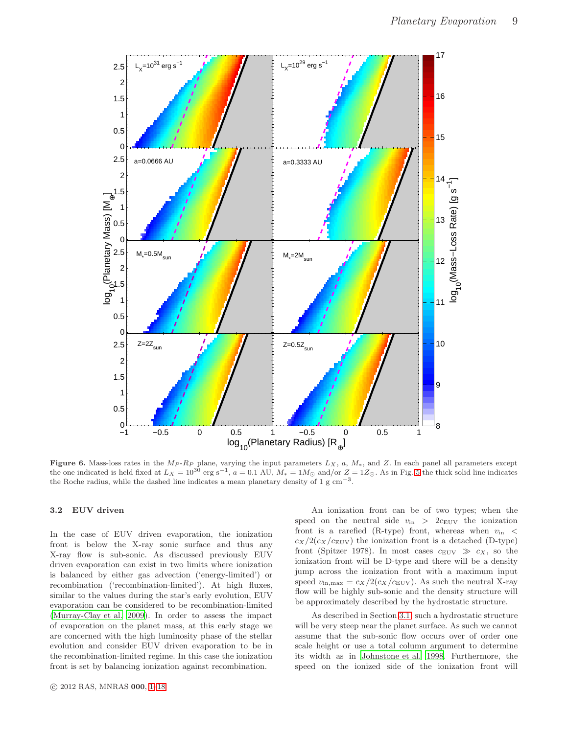

<span id="page-8-0"></span>Figure 6. Mass-loss rates in the  $M_P$ - $R_P$  plane, varying the input parameters  $L_X$ , a,  $M_*$ , and Z. In each panel all parameters except the one indicated is held fixed at  $L_X = 10^{30}$  erg s<sup>-1</sup>,  $a = 0.1$  AU,  $M_* = 1 M_{\odot}$  and/or  $Z = 1 Z_{\odot}$ . As in Fig. [5](#page-6-1) the thick solid line indicates the Roche radius, while the dashed line indicates a mean planetary density of  $1 \text{ g cm}^{-3}$ .

# 3.2 EUV driven

In the case of EUV driven evaporation, the ionization front is below the X-ray sonic surface and thus any X-ray flow is sub-sonic. As discussed previously EUV driven evaporation can exist in two limits where ionization is balanced by either gas advection ('energy-limited') or recombination ('recombination-limited'). At high fluxes, similar to the values during the star's early evolution, EUV evaporation can be considered to be recombination-limited [\(Murray-Clay et al. 2009\)](#page-17-6). In order to assess the impact of evaporation on the planet mass, at this early stage we are concerned with the high luminosity phase of the stellar evolution and consider EUV driven evaporation to be in the recombination-limited regime. In this case the ionization front is set by balancing ionization against recombination.

An ionization front can be of two types; when the speed on the neutral side  $v_{\text{in}} > 2c_{\text{EUV}}$  the ionization front is a rarefied (R-type) front, whereas when  $v_{\text{in}}$  <  $c_X/2(c_X/c_{\text{EUV}})$  the ionization front is a detached (D-type) front (Spitzer 1978). In most cases  $c_{\text{EUV}} \gg c_X$ , so the ionization front will be D-type and there will be a density jump across the ionization front with a maximum input speed  $v_{\rm in,max} = c_X/2(c_X/c_{\rm EUV})$ . As such the neutral X-ray flow will be highly sub-sonic and the density structure will be approximately described by the hydrostatic structure.

As described in Section [3.1,](#page-4-1) such a hydrostatic structure will be very steep near the planet surface. As such we cannot assume that the sub-sonic flow occurs over of order one scale height or use a total column argument to determine its width as in [Johnstone et al. 1998](#page-17-33). Furthermore, the speed on the ionized side of the ionization front will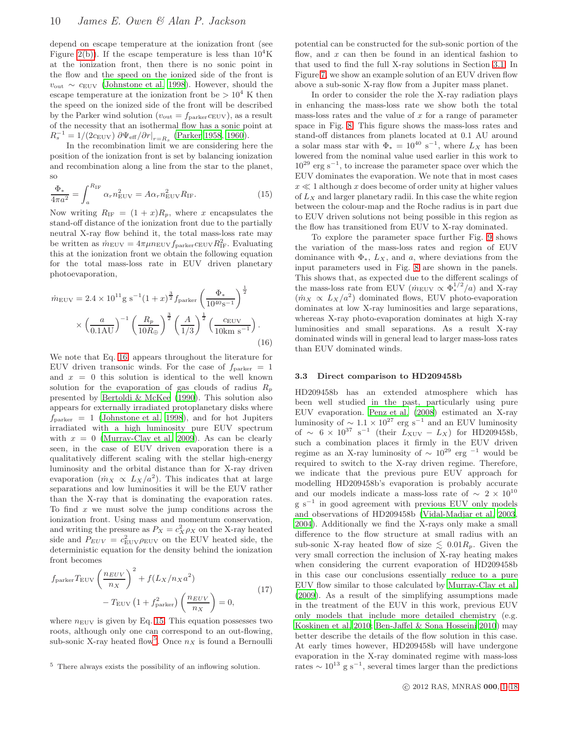depend on escape temperature at the ionization front (see Figure [2\(b\)\)](#page-4-6). If the escape temperature is less than  $10^4$ K at the ionization front, then there is no sonic point in the flow and the speed on the ionized side of the front is  $v_{\text{out}} \sim c_{\text{EUV}}$  [\(Johnstone et al. 1998\)](#page-17-33). However, should the escape temperature at the ionization front be  $> 10^4$  K then the speed on the ionized side of the front will be described by the Parker wind solution ( $v_{\text{out}} = f_{\text{parker}} c_{\text{EUV}}$ ), as a result of the necessity that an isothermal flow has a sonic point at  $R_s^{-1} = 1/(2c_{\text{EUV}}) \partial \Psi_{\text{eff}} / \partial r |_{r=R_s}$  [\(Parker 1958,](#page-17-37) [1960\)](#page-17-7).

In the recombination limit we are considering here the position of the ionization front is set by balancing ionization and recombination along a line from the star to the planet, so

<span id="page-9-1"></span>
$$
\frac{\Phi_*}{4\pi a^2} = \int_a^{R_{\rm IF}} \alpha_r n_{\rm EUV}^2 = A\alpha_r n_{\rm EUV}^2 R_{\rm IF}.
$$
\n(15)

Now writing  $R_{\text{IF}} = (1+x)R_p$ , where x encapsulates the stand-off distance of the ionization front due to the partially neutral X-ray flow behind it, the total mass-loss rate may be written as  $\dot{m}_{\text{EUV}} = 4\pi\mu n_{\text{EUV}} f_{\text{parker}} c_{\text{EUV}} R_{\text{IF}}^2$ . Evaluating this at the ionization front we obtain the following equation for the total mass-loss rate in EUV driven planetary photoevaporation,

<span id="page-9-0"></span>
$$
\dot{m}_{\text{EUV}} = 2.4 \times 10^{11} \text{g s}^{-1} (1+x)^{\frac{3}{2}} f_{\text{parker}} \left(\frac{\Phi_*}{10^{40} \text{s}^{-1}}\right)^{\frac{1}{2}}
$$

$$
\times \left(\frac{a}{0.1 \text{AU}}\right)^{-1} \left(\frac{R_p}{10 R_{\oplus}}\right)^{\frac{3}{2}} \left(\frac{A}{1/3}\right)^{\frac{1}{2}} \left(\frac{c_{\text{EUV}}}{10 \text{km s}^{-1}}\right). \tag{16}
$$

We note that Eq. [16,](#page-9-0) appears throughout the literature for EUV driven transonic winds. For the case of  $f_{\text{parker}} = 1$ and  $x = 0$  this solution is identical to the well known solution for the evaporation of gas clouds of radius  $R_p$ presented by [Bertoldi & McKee \(1990](#page-16-3)). This solution also appears for externally irradiated protoplanetary disks where  $f_{\text{parker}} = 1$  [\(Johnstone et al. 1998](#page-17-33)), and for hot Jupiters irradiated with a high luminosity pure EUV spectrum with  $x = 0$  [\(Murray-Clay et al. 2009](#page-17-6)). As can be clearly seen, in the case of EUV driven evaporation there is a qualitatively different scaling with the stellar high-energy luminosity and the orbital distance than for X-ray driven evaporation  $(m_X \propto L_X/a^2)$ . This indicates that at large separations and low luminosities it will be the EUV rather than the X-ray that is dominating the evaporation rates. To find  $x$  we must solve the jump conditions across the ionization front. Using mass and momentum conservation, and writing the pressure as  $P_X = c_X^2 \rho_X$  on the X-ray heated side and  $P_{EUV} = c_{\text{EUV}}^2 \rho_{\text{EUV}}$  on the EUV heated side, the deterministic equation for the density behind the ionization front becomes

$$
f_{\text{parker}} T_{\text{EUV}} \left(\frac{n_{EUV}}{n_X}\right)^2 + f(L_X/n_X a^2) - T_{\text{EUV}} \left(1 + f_{\text{parker}}^2\right) \left(\frac{n_{EUV}}{n_X}\right) = 0,
$$
\n(17)

where  $n_{\text{EUV}}$  is given by Eq. [15.](#page-9-1) This equation possesses two roots, although only one can correspond to an out-flowing, sub-sonic X-ray heated flow<sup>[5](#page-9-2)</sup>. Once  $n_X$  is found a Bernoulli

potential can be constructed for the sub-sonic portion of the flow, and  $x$  can then be found in an identical fashion to that used to find the full X-ray solutions in Section [3.1.](#page-4-1) In Figure [7,](#page-10-0) we show an example solution of an EUV driven flow above a sub-sonic X-ray flow from a Jupiter mass planet.

In order to consider the role the X-ray radiation plays in enhancing the mass-loss rate we show both the total mass-loss rates and the value of  $x$  for a range of parameter space in Fig. [8.](#page-10-1) This figure shows the mass-loss rates and stand-off distances from planets located at 0.1 AU around a solar mass star with  $\Phi_* = 10^{40} \text{ s}^{-1}$ , where  $L_X$  has been lowered from the nominal value used earlier in this work to  $10^{29}$  erg s<sup>-1</sup>, to increase the parameter space over which the EUV dominates the evaporation. We note that in most cases  $x \ll 1$  although x does become of order unity at higher values of  $L_X$  and larger planetary radii. In this case the white region between the colour-map and the Roche radius is in part due to EUV driven solutions not being possible in this region as the flow has transitioned from EUV to X-ray dominated.

To explore the parameter space further Fig. [9](#page-11-1) shows the variation of the mass-loss rates and region of EUV dominance with  $\Phi_*, L_X$ , and a, where deviations from the input parameters used in Fig. [8](#page-10-1) are shown in the panels. This shows that, as expected due to the different scalings of the mass-loss rate from EUV ( $\dot{m}_{\text{EUV}} \propto \Phi_*^{1/2}/a$ ) and X-ray  $(m_X \propto L_X/a^2)$  dominated flows, EUV photo-evaporation dominates at low X-ray luminosities and large separations, whereas X-ray photo-evaporation dominates at high X-ray luminosities and small separations. As a result X-ray dominated winds will in general lead to larger mass-loss rates than EUV dominated winds.

## 3.3 Direct comparison to HD209458b

HD209458b has an extended atmosphere which has been well studied in the past, particularly using pure EUV evaporation. [Penz et al. \(2008\)](#page-17-15) estimated an X-ray luminosity of  $\sim 1.1 \times 10^{27}$  erg s<sup>-1</sup> and an EUV luminosity of ∼  $6 \times 10^{37}$  s<sup>-1</sup> (their  $L_{\text{XUV}} - L_X$ ) for HD209458b, such a combination places it firmly in the EUV driven regime as an X-ray luminosity of  $\sim 10^{29}$  erg<sup>-1</sup> would be required to switch to the X-ray driven regime. Therefore, we indicate that the previous pure EUV approach for modelling HD209458b's evaporation is probably accurate and our models indicate a mass-loss rate of  $\sim~2\times10^{10}$ g s<sup>-1</sup> in good agreement with previous EUV only models and observations of HD209458b [\(Vidal-Madjar et al. 2003](#page-17-1), [2004](#page-17-2)). Additionally we find the X-rays only make a small difference to the flow structure at small radius with an sub-sonic X-ray heated flow of size  $\lesssim 0.01R_p$ . Given the very small correction the inclusion of X-ray heating makes when considering the current evaporation of HD209458b in this case our conclusions essentially reduce to a pure EUV flow similar to those calculated by [Murray-Clay et al.](#page-17-6) [\(2009\)](#page-17-6). As a result of the simplifying assumptions made in the treatment of the EUV in this work, previous EUV only models that include more detailed chemistry (e.g. [Koskinen et al. 2010;](#page-17-17) [Ben-Jaffel & Sona Hosseini 2010](#page-16-4)) may better describe the details of the flow solution in this case. At early times however, HD209458b will have undergone evaporation in the X-ray dominated regime with mass-loss rates  $\sim 10^{13}$  g s<sup>-1</sup>, several times larger than the predictions

<span id="page-9-2"></span> $^5\,$  There always exists the possibility of an inflowing solution.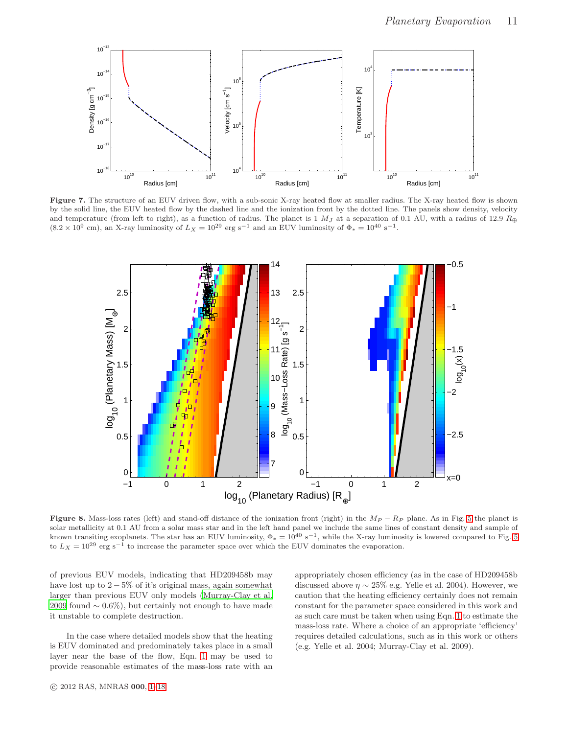

<span id="page-10-0"></span>Figure 7. The structure of an EUV driven flow, with a sub-sonic X-ray heated flow at smaller radius. The X-ray heated flow is shown by the solid line, the EUV heated flow by the dashed line and the ionization front by the dotted line. The panels show density, velocity and temperature (from left to right), as a function of radius. The planet is 1  $M_J$  at a separation of 0.1 AU, with a radius of 12.9  $R_{\oplus}$  $(8.2 \times 10^9 \text{ cm})$ , an X-ray luminosity of  $L_X = 10^{29} \text{ erg s}^{-1}$  and an EUV luminosity of  $\Phi_* = 10^{40} \text{ s}^{-1}$ .



<span id="page-10-1"></span>Figure 8. Mass-loss rates (left) and stand-off distance of the ionization front (right) in the  $M_P - R_P$  plane. As in Fig. [5](#page-6-1) the planet is solar metallicity at 0.1 AU from a solar mass star and in the left hand panel we include the same lines of constant density and sample of known transiting exoplanets. The star has an EUV luminosity,  $\Phi_* = 10^{40} \text{ s}^{-1}$ , while the X-ray luminosity is lowered compared to Fig. [5](#page-6-1) to  $L_X = 10^{29}$  erg s<sup>-1</sup> to increase the parameter space over which the EUV dominates the evaporation.

of previous EUV models, indicating that HD209458b may have lost up to  $2 - 5\%$  of it's original mass, again somewhat larger than previous EUV only models [\(Murray-Clay et al.](#page-17-6) [2009](#page-17-6) found  $\sim 0.6\%$ ), but certainly not enough to have made it unstable to complete destruction.

In the case where detailed models show that the heating is EUV dominated and predominately takes place in a small layer near the base of the flow, Eqn. [1](#page-1-1) may be used to provide reasonable estimates of the mass-loss rate with an appropriately chosen efficiency (as in the case of HD209458b discussed above  $\eta \sim 25\%$  e.g. Yelle et al. 2004). However, we caution that the heating efficiency certainly does not remain constant for the parameter space considered in this work and as such care must be taken when using Eqn. [1](#page-1-1) to estimate the mass-loss rate. Where a choice of an appropriate 'efficiency' requires detailed calculations, such as in this work or others (e.g. Yelle et al. 2004; Murray-Clay et al. 2009).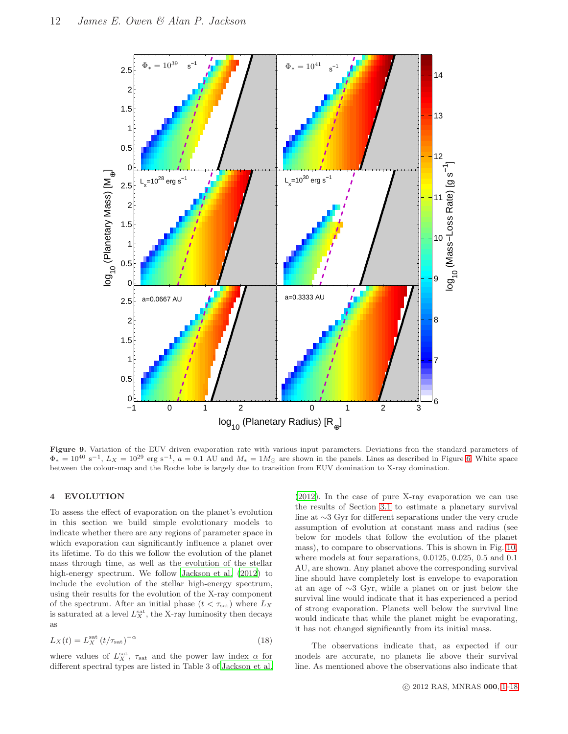

<span id="page-11-1"></span>Figure 9. Variation of the EUV driven evaporation rate with various input parameters. Deviations fron the standard parameters of  $\Phi_* = 10^{40} \text{ s}^{-1}$ ,  $L_X = 10^{29} \text{ erg s}^{-1}$ ,  $a = 0.1 \text{ AU}$  and  $M_* = 1 M_{\odot}$  are shown in the panels. Lines as described in Figure [6.](#page-8-0) White space between the colour-map and the Roche lobe is largely due to transition from EUV domination to X-ray domination.

## <span id="page-11-0"></span>4 EVOLUTION

To assess the effect of evaporation on the planet's evolution in this section we build simple evolutionary models to indicate whether there are any regions of parameter space in which evaporation can significantly influence a planet over its lifetime. To do this we follow the evolution of the planet mass through time, as well as the evolution of the stellar high-energy spectrum. We follow [Jackson et al. \(2012](#page-17-12)) to include the evolution of the stellar high-energy spectrum, using their results for the evolution of the X-ray component of the spectrum. After an initial phase  $(t < \tau_{\text{sat}})$  where  $L_X$ is saturated at a level  $L_X^{\text{sat}}$ , the X-ray luminosity then decays as

$$
L_X(t) = L_X^{\text{sat}} \left( t/\tau_{\text{sat}} \right)^{-\alpha} \tag{18}
$$

where values of  $L_X^{\text{sat}}$ ,  $\tau_{\text{sat}}$  and the power law index  $\alpha$  for different spectral types are listed in Table 3 of [Jackson et al.](#page-17-12)

[\(2012\)](#page-17-12). In the case of pure X-ray evaporation we can use the results of Section [3.1](#page-4-1) to estimate a planetary survival line at ∼3 Gyr for different separations under the very crude assumption of evolution at constant mass and radius (see below for models that follow the evolution of the planet mass), to compare to observations. This is shown in Fig. [10,](#page-12-0) where models at four separations, 0.0125, 0.025, 0.5 and 0.1 AU, are shown. Any planet above the corresponding survival line should have completely lost is envelope to evaporation at an age of ∼3 Gyr, while a planet on or just below the survival line would indicate that it has experienced a period of strong evaporation. Planets well below the survival line would indicate that while the planet might be evaporating, it has not changed significantly from its initial mass.

The observations indicate that, as expected if our models are accurate, no planets lie above their survival line. As mentioned above the observations also indicate that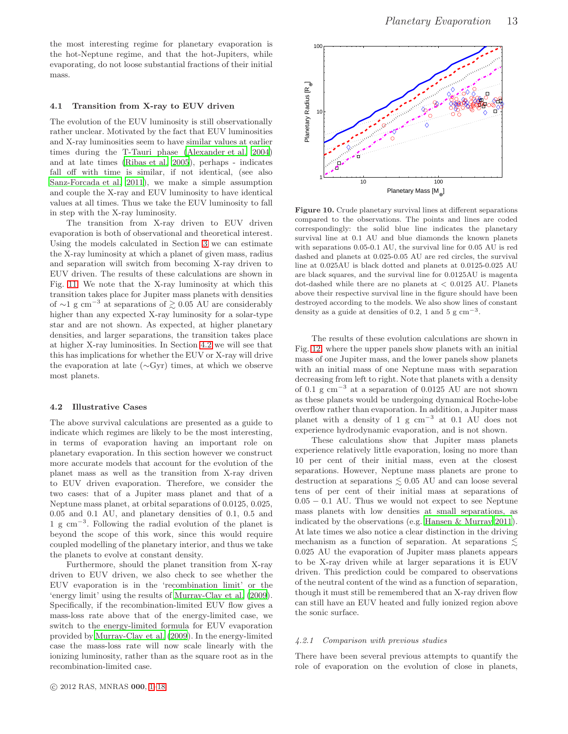the most interesting regime for planetary evaporation is the hot-Neptune regime, and that the hot-Jupiters, while evaporating, do not loose substantial fractions of their initial mass.

## 4.1 Transition from X-ray to EUV driven

The evolution of the EUV luminosity is still observationally rather unclear. Motivated by the fact that EUV luminosities and X-ray luminosities seem to have similar values at earlier times during the T-Tauri phase [\(Alexander et al. 2004](#page-16-5)) and at late times [\(Ribas et al. 2005](#page-17-40)), perhaps - indicates fall off with time is similar, if not identical, (see also [Sanz-Forcada et al. 2011\)](#page-17-41), we make a simple assumption and couple the X-ray and EUV luminosity to have identical values at all times. Thus we take the EUV luminosity to fall in step with the X-ray luminosity.

The transition from X-ray driven to EUV driven evaporation is both of observational and theoretical interest. Using the models calculated in Section [3](#page-3-0) we can estimate the X-ray luminosity at which a planet of given mass, radius and separation will switch from becoming X-ray driven to EUV driven. The results of these calculations are shown in Fig. [11.](#page-13-1) We note that the X-ray luminosity at which this transition takes place for Jupiter mass planets with densities of ∼1 g cm<sup>-3</sup> at separations of  $\gtrsim 0.05$  AU are considerably higher than any expected X-ray luminosity for a solar-type star and are not shown. As expected, at higher planetary densities, and larger separations, the transition takes place at higher X-ray luminosities. In Section [4.2](#page-12-1) we will see that this has implications for whether the EUV or X-ray will drive the evaporation at late (∼Gyr) times, at which we observe most planets.

#### <span id="page-12-1"></span>4.2 Illustrative Cases

The above survival calculations are presented as a guide to indicate which regimes are likely to be the most interesting, in terms of evaporation having an important role on planetary evaporation. In this section however we construct more accurate models that account for the evolution of the planet mass as well as the transition from X-ray driven to EUV driven evaporation. Therefore, we consider the two cases: that of a Jupiter mass planet and that of a Neptune mass planet, at orbital separations of 0.0125, 0.025, 0.05 and 0.1 AU, and planetary densities of 0.1, 0.5 and 1 g cm<sup>−</sup><sup>3</sup> . Following the radial evolution of the planet is beyond the scope of this work, since this would require coupled modelling of the planetary interior, and thus we take the planets to evolve at constant density.

Furthermore, should the planet transition from X-ray driven to EUV driven, we also check to see whether the EUV evaporation is in the 'recombination limit' or the 'energy limit' using the results of [Murray-Clay et al. \(2009\)](#page-17-6). Specifically, if the recombination-limited EUV flow gives a mass-loss rate above that of the energy-limited case, we switch to the energy-limited formula for EUV evaporation provided by [Murray-Clay et al. \(2009](#page-17-6)). In the energy-limited case the mass-loss rate will now scale linearly with the ionizing luminosity, rather than as the square root as in the recombination-limited case.



<span id="page-12-0"></span>Figure 10. Crude planetary survival lines at different separations compared to the observations. The points and lines are coded correspondingly: the solid blue line indicates the planetary survival line at 0.1 AU and blue diamonds the known planets with separations 0.05-0.1 AU, the survival line for 0.05 AU is red dashed and planets at 0.025-0.05 AU are red circles, the survival line at 0.025AU is black dotted and planets at 0.0125-0.025 AU are black squares, and the survival line for 0.0125AU is magenta dot-dashed while there are no planets at  $\langle 0.0125 \text{ AU} \rangle$ . Planets above their respective survival line in the figure should have been destroyed according to the models. We also show lines of constant density as a guide at densities of 0.2, 1 and 5  $\text{g cm}^{-3}$ .

The results of these evolution calculations are shown in Fig. [12,](#page-14-1) where the upper panels show planets with an initial mass of one Jupiter mass, and the lower panels show planets with an initial mass of one Neptune mass with separation decreasing from left to right. Note that planets with a density of 0.1 g cm<sup>−</sup><sup>3</sup> at a separation of 0.0125 AU are not shown as these planets would be undergoing dynamical Roche-lobe overflow rather than evaporation. In addition, a Jupiter mass planet with a density of 1 g  $cm^{-3}$  at 0.1 AU does not experience hydrodynamic evaporation, and is not shown.

These calculations show that Jupiter mass planets experience relatively little evaporation, losing no more than 10 per cent of their initial mass, even at the closest separations. However, Neptune mass planets are prone to destruction at separations  $\lesssim 0.05$  AU and can loose several tens of per cent of their initial mass at separations of 0.05 − 0.1 AU. Thus we would not expect to see Neptune mass planets with low densities at small separations, as indicated by the observations (e.g. [Hansen & Murray 2011](#page-17-42)). At late times we also notice a clear distinction in the driving mechanism as a function of separation. At separations  $\leq$ 0.025 AU the evaporation of Jupiter mass planets appears to be X-ray driven while at larger separations it is EUV driven. This prediction could be compared to observations of the neutral content of the wind as a function of separation, though it must still be remembered that an X-ray driven flow can still have an EUV heated and fully ionized region above the sonic surface.

#### 4.2.1 Comparison with previous studies

There have been several previous attempts to quantify the role of evaporation on the evolution of close in planets,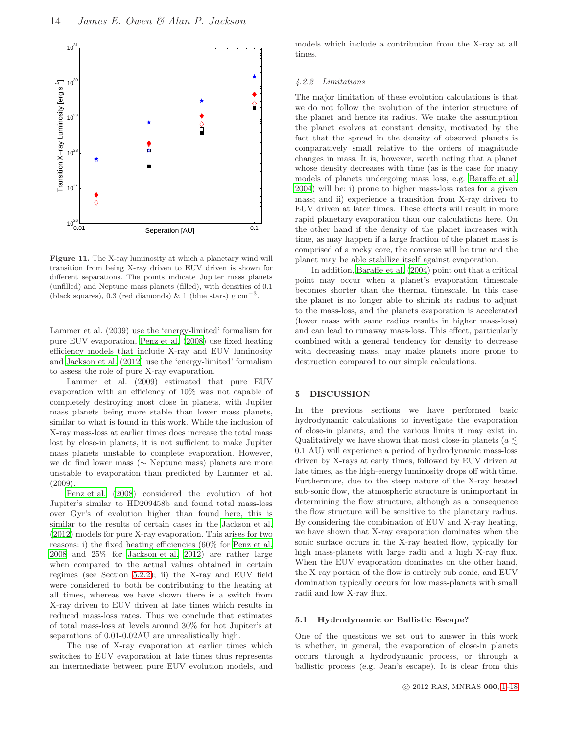

<span id="page-13-1"></span>Figure 11. The X-ray luminosity at which a planetary wind will transition from being X-ray driven to EUV driven is shown for different separations. The points indicate Jupiter mass planets (unfilled) and Neptune mass planets (filled), with densities of 0.1 (black squares), 0.3 (red diamonds) & 1 (blue stars) g  $\text{cm}^{-3}$ .

Lammer et al. (2009) use the 'energy-limited' formalism for pure EUV evaporation, [Penz et al. \(2008](#page-17-15)) use fixed heating efficiency models that include X-ray and EUV luminosity and [Jackson et al. \(2012](#page-17-12)) use the 'energy-limited' formalism to assess the role of pure X-ray evaporation.

Lammer et al. (2009) estimated that pure EUV evaporation with an efficiency of 10% was not capable of completely destroying most close in planets, with Jupiter mass planets being more stable than lower mass planets, similar to what is found in this work. While the inclusion of X-ray mass-loss at earlier times does increase the total mass lost by close-in planets, it is not sufficient to make Jupiter mass planets unstable to complete evaporation. However, we do find lower mass (∼ Neptune mass) planets are more unstable to evaporation than predicted by Lammer et al. (2009).

[Penz et al. \(2008](#page-17-15)) considered the evolution of hot Jupiter's similar to HD209458b and found total mass-loss over Gyr's of evolution higher than found here, this is similar to the results of certain cases in the [Jackson et al.](#page-17-12) [\(2012\)](#page-17-12) models for pure X-ray evaporation. This arises for two reasons: i) the fixed heating efficiencies (60% for [Penz et al.](#page-17-15) [2008](#page-17-15) and 25% for [Jackson et al. 2012\)](#page-17-12) are rather large when compared to the actual values obtained in certain regimes (see Section [5.2.2\)](#page-14-2); ii) the X-ray and EUV field were considered to both be contributing to the heating at all times, whereas we have shown there is a switch from X-ray driven to EUV driven at late times which results in reduced mass-loss rates. Thus we conclude that estimates of total mass-loss at levels around 30% for hot Jupiter's at separations of 0.01-0.02AU are unrealistically high.

The use of X-ray evaporation at earlier times which switches to EUV evaporation at late times thus represents an intermediate between pure EUV evolution models, and models which include a contribution from the X-ray at all times.

#### 4.2.2 Limitations

The major limitation of these evolution calculations is that we do not follow the evolution of the interior structure of the planet and hence its radius. We make the assumption the planet evolves at constant density, motivated by the fact that the spread in the density of observed planets is comparatively small relative to the orders of magnitude changes in mass. It is, however, worth noting that a planet whose density decreases with time (as is the case for many models of planets undergoing mass loss, e.g. [Baraffe et al.](#page-16-6) [2004](#page-16-6)) will be: i) prone to higher mass-loss rates for a given mass; and ii) experience a transition from X-ray driven to EUV driven at later times. These effects will result in more rapid planetary evaporation than our calculations here. On the other hand if the density of the planet increases with time, as may happen if a large fraction of the planet mass is comprised of a rocky core, the converse will be true and the planet may be able stabilize itself against evaporation.

In addition, [Baraffe et al. \(2004\)](#page-16-6) point out that a critical point may occur when a planet's evaporation timescale becomes shorter than the thermal timescale. In this case the planet is no longer able to shrink its radius to adjust to the mass-loss, and the planets evaporation is accelerated (lower mass with same radius results in higher mass-loss) and can lead to runaway mass-loss. This effect, particularly combined with a general tendency for density to decrease with decreasing mass, may make planets more prone to destruction compared to our simple calculations.

## <span id="page-13-0"></span>5 DISCUSSION

In the previous sections we have performed basic hydrodynamic calculations to investigate the evaporation of close-in planets, and the various limits it may exist in. Qualitatively we have shown that most close-in planets ( $a \leq$ 0.1 AU) will experience a period of hydrodynamic mass-loss driven by X-rays at early times, followed by EUV driven at late times, as the high-energy luminosity drops off with time. Furthermore, due to the steep nature of the X-ray heated sub-sonic flow, the atmospheric structure is unimportant in determining the flow structure, although as a consequence the flow structure will be sensitive to the planetary radius. By considering the combination of EUV and X-ray heating, we have shown that X-ray evaporation dominates when the sonic surface occurs in the X-ray heated flow, typically for high mass-planets with large radii and a high X-ray flux. When the EUV evaporation dominates on the other hand, the X-ray portion of the flow is entirely sub-sonic, and EUV domination typically occurs for low mass-planets with small radii and low X-ray flux.

#### 5.1 Hydrodynamic or Ballistic Escape?

One of the questions we set out to answer in this work is whether, in general, the evaporation of close-in planets occurs through a hydrodynamic process, or through a ballistic process (e.g. Jean's escape). It is clear from this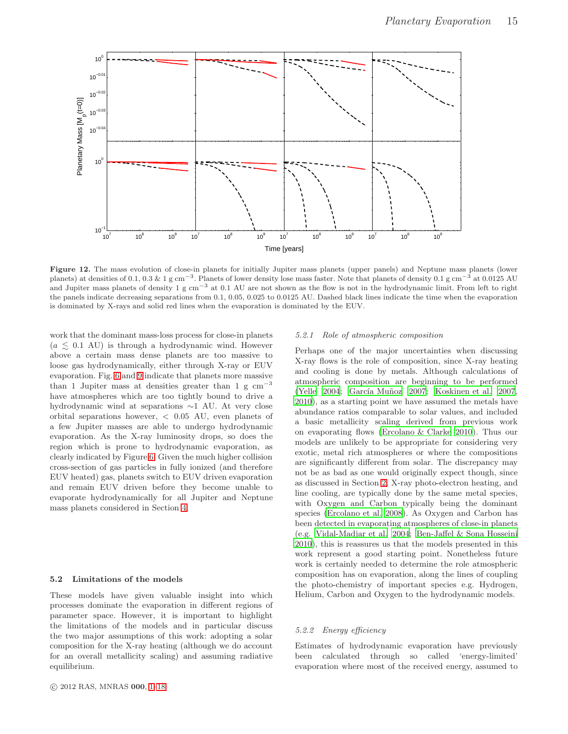

<span id="page-14-1"></span>Figure 12. The mass evolution of close-in planets for initially Jupiter mass planets (upper panels) and Neptune mass planets (lower planets) at densities of 0.1, 0.3 & 1 g cm<sup>-3</sup>. Planets of lower density lose mass faster. Note that planets of density 0.1 g cm<sup>-3</sup> at 0.0125 AU and Jupiter mass planets of density 1 g cm−<sup>3</sup> at 0.1 AU are not shown as the flow is not in the hydrodynamic limit. From left to right the panels indicate decreasing separations from 0.1, 0.05, 0.025 to 0.0125 AU. Dashed black lines indicate the time when the evaporation is dominated by X-rays and solid red lines when the evaporation is dominated by the EUV.

work that the dominant mass-loss process for close-in planets  $(a \leq 0.1 \text{ AU})$  is through a hydrodynamic wind. However above a certain mass dense planets are too massive to loose gas hydrodynamically, either through X-ray or EUV evaporation. Fig. [6](#page-8-0) and [9](#page-11-1) indicate that planets more massive than 1 Jupiter mass at densities greater than 1 g  $cm^{-3}$ have atmospheres which are too tightly bound to drive a hydrodynamic wind at separations ∼1 AU. At very close orbital separations however, < 0.05 AU, even planets of a few Jupiter masses are able to undergo hydrodynamic evaporation. As the X-ray luminosity drops, so does the region which is prone to hydrodynamic evaporation, as clearly indicated by Figure [6.](#page-8-0) Given the much higher collision cross-section of gas particles in fully ionized (and therefore EUV heated) gas, planets switch to EUV driven evaporation and remain EUV driven before they become unable to evaporate hydrodynamically for all Jupiter and Neptune mass planets considered in Section [4.](#page-11-0)

#### <span id="page-14-0"></span>5.2 Limitations of the models

These models have given valuable insight into which processes dominate the evaporation in different regions of parameter space. However, it is important to highlight the limitations of the models and in particular discuss the two major assumptions of this work: adopting a solar composition for the X-ray heating (although we do account for an overall metallicity scaling) and assuming radiative equilibrium.

## 5.2.1 Role of atmospheric composition

Perhaps one of the major uncertainties when discussing X-ray flows is the role of composition, since X-ray heating and cooling is done by metals. Although calculations of atmospheric composition are beginning to be performed [\(Yelle 2004](#page-17-13); García Muñoz 2007; [Koskinen et al. 2007](#page-17-43), [2010](#page-17-44)), as a starting point we have assumed the metals have abundance ratios comparable to solar values, and included a basic metallicity scaling derived from previous work on evaporating flows [\(Ercolano & Clarke 2010](#page-17-30)). Thus our models are unlikely to be appropriate for considering very exotic, metal rich atmospheres or where the compositions are significantly different from solar. The discrepancy may not be as bad as one would originally expect though, since as discussed in Section [2,](#page-2-0) X-ray photo-electron heating, and line cooling, are typically done by the same metal species, with Oxygen and Carbon typically being the dominant species [\(Ercolano et al. 2008](#page-17-45)). As Oxygen and Carbon has been detected in evaporating atmospheres of close-in planets (e.g. [Vidal-Madjar et al. 2004](#page-17-2); [Ben-Jaffel & Sona Hosseini](#page-16-4) [2010](#page-16-4)), this is reassures us that the models presented in this work represent a good starting point. Nonetheless future work is certainly needed to determine the role atmospheric composition has on evaporation, along the lines of coupling the photo-chemistry of important species e.g. Hydrogen, Helium, Carbon and Oxygen to the hydrodynamic models.

## <span id="page-14-2"></span>5.2.2 Energy efficiency

Estimates of hydrodynamic evaporation have previously been calculated through so called 'energy-limited' evaporation where most of the received energy, assumed to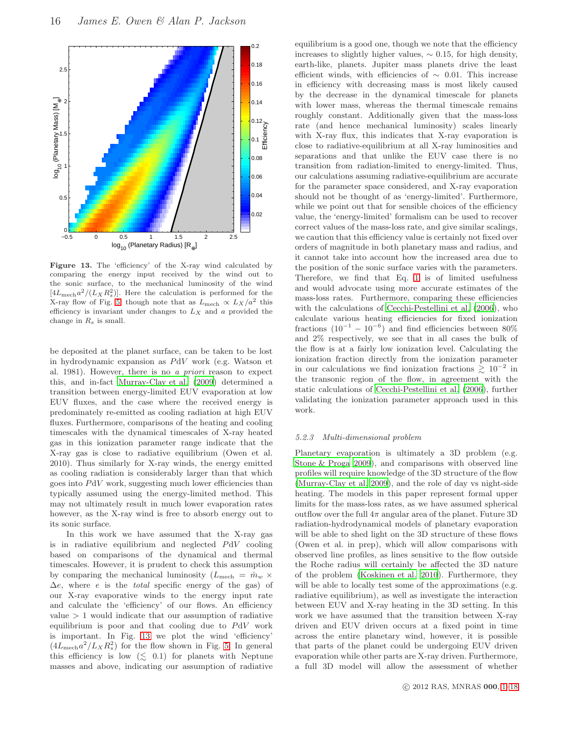

<span id="page-15-0"></span>Figure 13. The 'efficiency' of the X-ray wind calculated by comparing the energy input received by the wind out to the sonic surface, to the mechanical luminosity of the wind  $[4L_{\rm mech}a^2/(L_X R_s^2)]$ . Here the calculation is performed for the X-ray flow of Fig. [5,](#page-6-1) though note that as  $L_{\text{mech}} \propto L_X/a^2$  this efficiency is invariant under changes to  $L_X$  and a provided the change in  $R_s$  is small.

be deposited at the planet surface, can be taken to be lost in hydrodynamic expansion as PdV work (e.g. Watson et al. 1981). However, there is no a priori reason to expect this, and in-fact [Murray-Clay et al. \(2009](#page-17-6)) determined a transition between energy-limited EUV evaporation at low EUV fluxes, and the case where the received energy is predominately re-emitted as cooling radiation at high EUV fluxes. Furthermore, comparisons of the heating and cooling timescales with the dynamical timescales of X-ray heated gas in this ionization parameter range indicate that the X-ray gas is close to radiative equilibrium (Owen et al. 2010). Thus similarly for X-ray winds, the energy emitted as cooling radiation is considerably larger than that which goes into PdV work, suggesting much lower efficiencies than typically assumed using the energy-limited method. This may not ultimately result in much lower evaporation rates however, as the X-ray wind is free to absorb energy out to its sonic surface.

In this work we have assumed that the X-ray gas is in radiative equilibrium and neglected PdV cooling based on comparisons of the dynamical and thermal timescales. However, it is prudent to check this assumption by comparing the mechanical luminosity ( $L_{\text{mech}} = \dot{m}_w \times$  $\Delta e$ , where *e* is the *total* specific energy of the gas) of our X-ray evaporative winds to the energy input rate and calculate the 'efficiency' of our flows. An efficiency value  $> 1$  would indicate that our assumption of radiative equilibrium is poor and that cooling due to PdV work is important. In Fig. [13](#page-15-0) we plot the wind 'efficiency'  $(4L_{\rm mech}a^2/L_XR_s^2)$  for the flow shown in Fig. [5.](#page-6-1) In general this efficiency is low  $(\leq 0.1)$  for planets with Neptune masses and above, indicating our assumption of radiative equilibrium is a good one, though we note that the efficiency increases to slightly higher values,  $\sim 0.15$ , for high density, earth-like, planets. Jupiter mass planets drive the least efficient winds, with efficiencies of  $\sim$  0.01. This increase in efficiency with decreasing mass is most likely caused by the decrease in the dynamical timescale for planets with lower mass, whereas the thermal timescale remains roughly constant. Additionally given that the mass-loss rate (and hence mechanical luminosity) scales linearly with X-ray flux, this indicates that X-ray evaporation is close to radiative-equilibrium at all X-ray luminosities and separations and that unlike the EUV case there is no transition from radiation-limited to energy-limited. Thus, our calculations assuming radiative-equilibrium are accurate for the parameter space considered, and X-ray evaporation should not be thought of as 'energy-limited'. Furthermore, while we point out that for sensible choices of the efficiency value, the 'energy-limited' formalism can be used to recover correct values of the mass-loss rate, and give similar scalings, we caution that this efficiency value is certainly not fixed over orders of magnitude in both planetary mass and radius, and it cannot take into account how the increased area due to the position of the sonic surface varies with the parameters. Therefore, we find that Eq. [1](#page-1-1) is of limited usefulness and would advocate using more accurate estimates of the mass-loss rates. Furthermore, comparing these efficiencies with the calculations of [Cecchi-Pestellini et al. \(2006](#page-16-1)), who calculate various heating efficiencies for fixed ionization fractions  $(10^{-1} - 10^{-6})$  and find efficiencies between 80% and 2% respectively, we see that in all cases the bulk of the flow is at a fairly low ionization level. Calculating the ionization fraction directly from the ionization parameter in our calculations we find ionization fractions  $\gtrsim 10^{-2}$  in the transonic region of the flow, in agreement with the static calculations of [Cecchi-Pestellini et al. \(2006](#page-16-1)), further validating the ionization parameter approach used in this work.

#### 5.2.3 Multi-dimensional problem

Planetary evaporation is ultimately a 3D problem (e.g. [Stone & Proga 2009](#page-17-46)), and comparisons with observed line profiles will require knowledge of the 3D structure of the flow [\(Murray-Clay et al. 2009](#page-17-6)), and the role of day vs night-side heating. The models in this paper represent formal upper limits for the mass-loss rates, as we have assumed spherical outflow over the full  $4\pi$  angular area of the planet. Future 3D radiation-hydrodynamical models of planetary evaporation will be able to shed light on the 3D structure of these flows (Owen et al. in prep), which will allow comparisons with observed line profiles, as lines sensitive to the flow outside the Roche radius will certainly be affected the 3D nature of the problem [\(Koskinen et al. 2010](#page-17-17)). Furthermore, they will be able to locally test some of the approximations (e.g. radiative equilibrium), as well as investigate the interaction between EUV and X-ray heating in the 3D setting. In this work we have assumed that the transition between X-ray driven and EUV driven occurs at a fixed point in time across the entire planetary wind, however, it is possible that parts of the planet could be undergoing EUV driven evaporation while other parts are X-ray driven. Furthermore, a full 3D model will allow the assessment of whether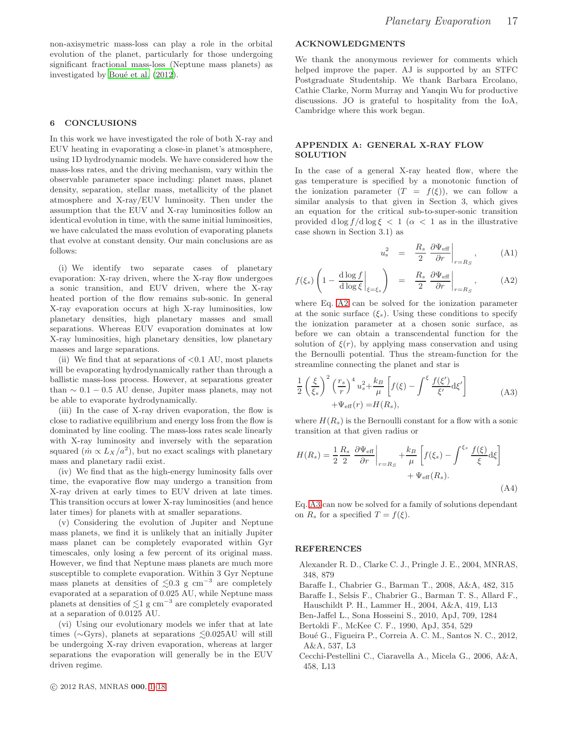non-axisymetric mass-loss can play a role in the orbital evolution of the planet, particularly for those undergoing significant fractional mass-loss (Neptune mass planets) as investigated by Boué et al. (2012).

# <span id="page-16-2"></span>6 CONCLUSIONS

In this work we have investigated the role of both X-ray and EUV heating in evaporating a close-in planet's atmosphere, using 1D hydrodynamic models. We have considered how the mass-loss rates, and the driving mechanism, vary within the observable parameter space including: planet mass, planet density, separation, stellar mass, metallicity of the planet atmosphere and X-ray/EUV luminosity. Then under the assumption that the EUV and X-ray luminosities follow an identical evolution in time, with the same initial luminosities, we have calculated the mass evolution of evaporating planets that evolve at constant density. Our main conclusions are as follows:

(i) We identify two separate cases of planetary evaporation: X-ray driven, where the X-ray flow undergoes a sonic transition, and EUV driven, where the X-ray heated portion of the flow remains sub-sonic. In general X-ray evaporation occurs at high X-ray luminosities, low planetary densities, high planetary masses and small separations. Whereas EUV evaporation dominates at low X-ray luminosities, high planetary densities, low planetary masses and large separations.

(ii) We find that at separations of  $\langle 0.1 \text{ AU}$ , most planets will be evaporating hydrodynamically rather than through a ballistic mass-loss process. However, at separations greater than  $\sim 0.1 - 0.5$  AU dense, Jupiter mass planets, may not be able to evaporate hydrodynamically.

(iii) In the case of X-ray driven evaporation, the flow is close to radiative equilibrium and energy loss from the flow is dominated by line cooling. The mass-loss rates scale linearly with X-ray luminosity and inversely with the separation squared  $(m \propto L_X/a^2)$ , but no exact scalings with planetary mass and planetary radii exist.

(iv) We find that as the high-energy luminosity falls over time, the evaporative flow may undergo a transition from X-ray driven at early times to EUV driven at late times. This transition occurs at lower X-ray luminosities (and hence later times) for planets with at smaller separations.

(v) Considering the evolution of Jupiter and Neptune mass planets, we find it is unlikely that an initially Jupiter mass planet can be completely evaporated within Gyr timescales, only losing a few percent of its original mass. However, we find that Neptune mass planets are much more susceptible to complete evaporation. Within 3 Gyr Neptune mass planets at densities of  $\lesssim 0.3$  g cm<sup>-3</sup> are completely evaporated at a separation of 0.025 AU, while Neptune mass planets at densities of  $\lesssim$ 1 g cm<sup>-3</sup> are completely evaporated at a separation of 0.0125 AU.

(vi) Using our evolutionary models we infer that at late times ( $\sim$ Gyrs), planets at separations  $\leq 0.025$ AU will still be undergoing X-ray driven evaporation, whereas at larger separations the evaporation will generally be in the EUV driven regime.

# ACKNOWLEDGMENTS

We thank the anonymous reviewer for comments which helped improve the paper. AJ is supported by an STFC Postgraduate Studentship. We thank Barbara Ercolano, Cathie Clarke, Norm Murray and Yanqin Wu for productive discussions. JO is grateful to hospitality from the IoA, Cambridge where this work began.

## APPENDIX A: GENERAL X-RAY FLOW **SOLUTION**

In the case of a general X-ray heated flow, where the gas temperature is specified by a monotonic function of the ionization parameter  $(T = f(\xi))$ , we can follow a similar analysis to that given in Section 3, which gives an equation for the critical sub-to-super-sonic transition provided d log  $f/d \log \xi < 1$  ( $\alpha < 1$  as in the illustrative case shown in Section 3.1) as

<span id="page-16-9"></span><span id="page-16-8"></span>
$$
u_s^2 = \frac{R_s}{2} \left. \frac{\partial \Psi_{\text{eff}}}{\partial r} \right|_{r=R_S}, \quad (A1)
$$

$$
f(\xi_s) \left(1 - \frac{\mathrm{d}\log f}{\mathrm{d}\log \xi}\bigg|_{\xi = \xi_s}\right) = \frac{R_s}{2} \left. \frac{\partial \Psi_{\text{eff}}}{\partial r}\right|_{r = R_S},\tag{A2}
$$

where Eq. [A2](#page-16-8) can be solved for the ionization parameter at the sonic surface  $(\xi_s)$ . Using these conditions to specify the ionization parameter at a chosen sonic surface, as before we can obtain a transcendental function for the solution of  $\xi(r)$ , by applying mass conservation and using the Bernoulli potential. Thus the stream-function for the streamline connecting the planet and star is

$$
\frac{1}{2} \left(\frac{\xi}{\xi_s}\right)^2 \left(\frac{r_s}{r}\right)^4 u_s^2 + \frac{k_B}{\mu} \left[f(\xi) - \int^{\xi} \frac{f(\xi')}{\xi'} d\xi'\right] + \Psi_{\text{eff}}(r) = H(R_s),\tag{A3}
$$

where  $H(R_s)$  is the Bernoulli constant for a flow with a sonic transition at that given radius or

$$
H(R_s) = \frac{1}{2} \frac{R_s}{2} \left. \frac{\partial \Psi_{\text{eff}}}{\partial r} \right|_{r=R_S} + \frac{k_B}{\mu} \left[ f(\xi_s) - \int^{\xi_s} \frac{f(\xi)}{\xi} d\xi \right] + \Psi_{\text{eff}}(R_s). \tag{A4}
$$

Eq. [A3](#page-16-9) can now be solved for a family of solutions dependant on  $R_s$  for a specified  $T = f(\xi)$ .

# **REFERENCES**

- <span id="page-16-5"></span>Alexander R. D., Clarke C. J., Pringle J. E., 2004, MNRAS, 348, 879
- <span id="page-16-0"></span>Baraffe I., Chabrier G., Barman T., 2008, A&A, 482, 315 Baraffe I., Selsis F., Chabrier G., Barman T. S., Allard F.,
- <span id="page-16-6"></span>Hauschildt P. H., Lammer H., 2004, A&A, 419, L13
- <span id="page-16-4"></span>Ben-Jaffel L., Sona Hosseini S., 2010, ApJ, 709, 1284
- <span id="page-16-3"></span>Bertoldi F., McKee C. F., 1990, ApJ, 354, 529
- <span id="page-16-7"></span>Boué G., Figueira P., Correia A. C. M., Santos N. C., 2012, A&A, 537, L3
- <span id="page-16-1"></span>Cecchi-Pestellini C., Ciaravella A., Micela G., 2006, A&A, 458, L13